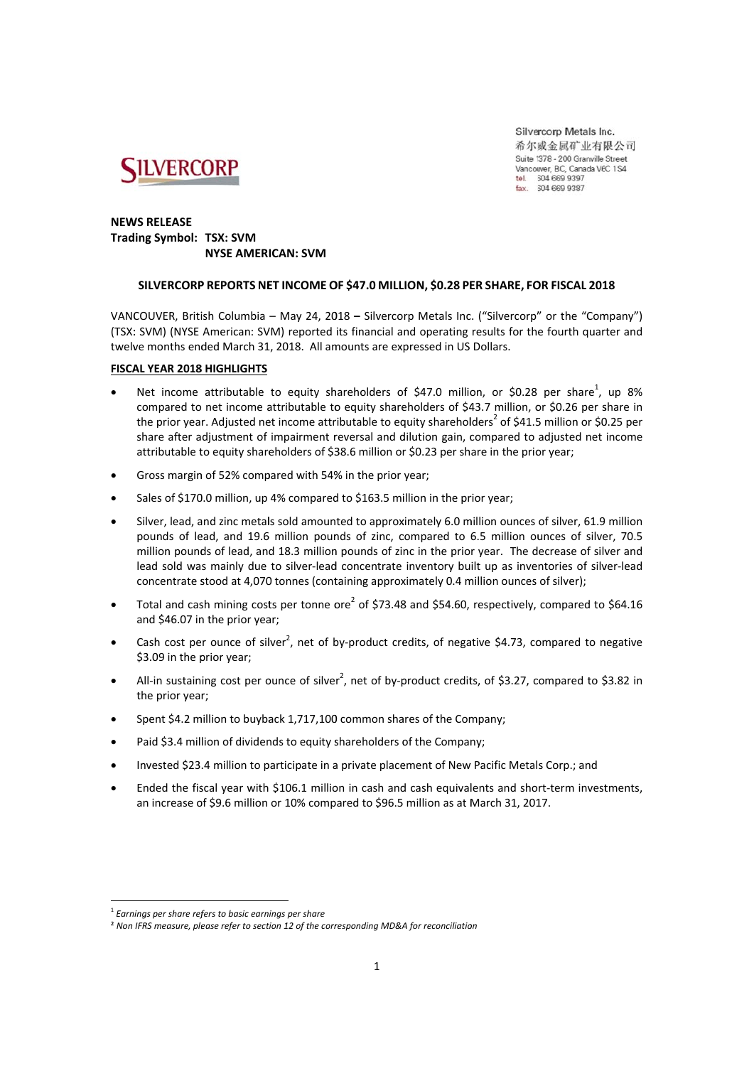

Silvercorp Metals Inc. 希尔威金属矿业有限公司 Suite 1378 - 200 Granville Street Vancouver, BC, Canada V6C 1S4 604 669 9397 tel. fax. 604 669 9387

### **NEW WS RELEASE Trad ing Symbol: TSX: SVM NYSE AMER ICAN: SVM**

### SILVERCORP REPORTS NET INCOME OF \$47.0 MILLION, \$0.28 PER SHARE, FOR FISCAL 2018

VANCOUVER, British Columbia – May 24, 2018 – Silvercorp Metals Inc. ("Silvercorp" or the "Company") (TSX: SVM) (NYSE American: SVM) reported its financial and operating results for the fourth quarter and twelve months ended March 31, 2018. All amounts are expressed in US Dollars.

### **FISCA AL YEAR 2018 8 HIGHLIGHTS**

- $\bullet$ Net income attributable to equity shareholders of \$47.0 million, or \$0.28 per share<sup>1</sup>, up 8% compared to net income attributable to equity shareholders of \$43.7 million, or \$0.26 per share in the prior year. Adjusted net income attributable to equity shareholders<sup>2</sup> of \$41.5 million or \$0.25 per share after adjustment of impairment reversal and dilution gain, compared to adjusted net income attributable to equity shareholders of \$38.6 million or \$0.23 per share in the prior year;
- $\bullet$ Gross margin of 52% compared with 54% in the prior year;
- $\bullet$ Sales of \$170.0 million, up 4% compared to \$163.5 million in the prior year;
- $\bullet$ Silver, lead, and zinc metals sold amounted to approximately 6.0 million ounces of silver, 61.9 million pounds of lead, and 19.6 million pounds of zinc, compared to 6.5 million ounces of silver, 70.5 million pounds of lead, and 18.3 million pounds of zinc in the prior year. The decrease of silver and lead sold was mainly due to silver-lead concentrate inventory built up as inventories of silver-lead concentrate stood at 4,070 tonnes (containing approximately 0.4 million ounces of silver);
- $\bullet$ Total and cash mining costs per tonne ore<sup>2</sup> of \$73.48 and \$54.60, respectively, compared to \$64.16 and \$46.07 in the prior year;
- $\bullet$ Cash cost per ounce of silver<sup>2</sup>, net of by-product credits, of negative \$4.73, compared to negative \$3.09 in the p prior year;
- $\bullet$ All-in sustaining cost per ounce of silver<sup>2</sup>, net of by-product credits, of \$3.27, compared to \$3.82 in the prior yea r;
- $\bullet$ Spent \$4.2 million to buyback 1,717,100 common shares of the Company;
- $\bullet$ Paid \$3.4 million of dividends to equity shareholders of the Company;
- $\bullet$ Invested \$23.4 million to participate in a private placement of New Pacific Metals Corp.; and
- $\overline{\phantom{a}}$ Ended the fiscal year with \$106.1 million in cash and cash equivalents and short-term investments, an increase of \$9.6 million or 10% compared to \$96.5 million as at March 31, 2017.

<sup>1</sup> *Earn ings per share ref fers to basic earn ings per share*

 $^{\rm 2}$  Non IFRS measure, please refer to section 12 of the corresponding MD&A for reconciliation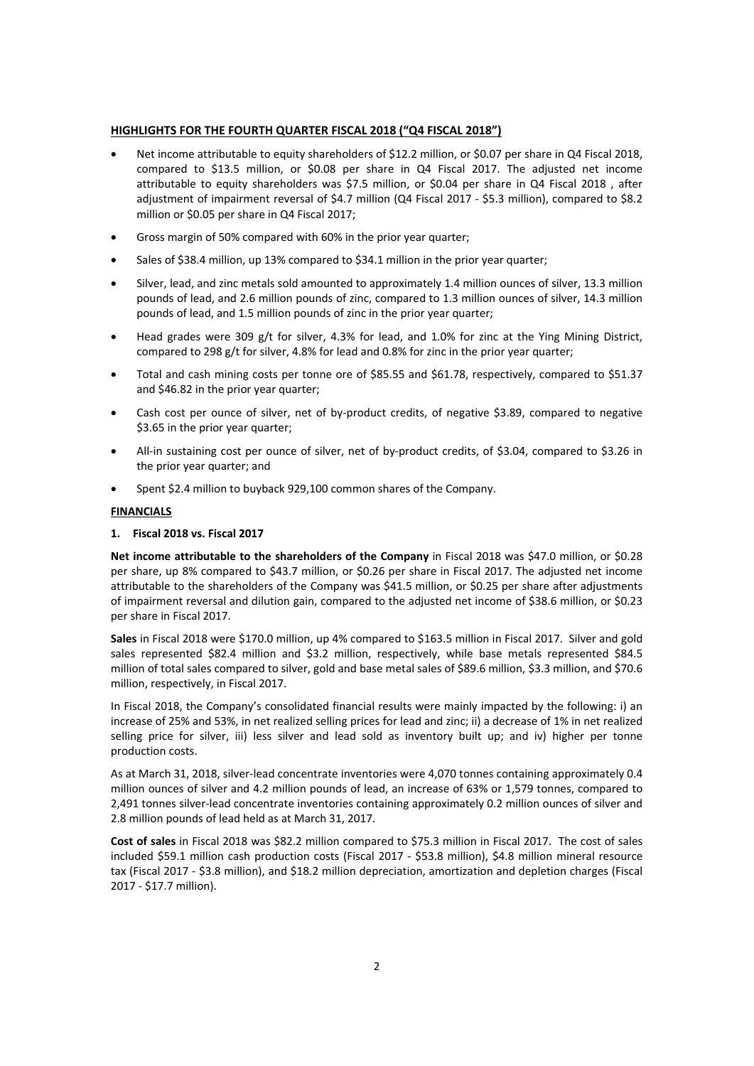### **HIGHLIGHTS FOR THE FOURTH QUARTER FISCAL 2018 ("Q4 FISCAL 2018")**

- Net income attributable to equity shareholders of \$12.2 million, or \$0.07 per share in Q4 Fiscal 2018, compared to \$13.5 million, or \$0.08 per share in Q4 Fiscal 2017. The adjusted net income attributable to equity shareholders was \$7.5 million, or \$0.04 per share in Q4 Fiscal 2018 , after adjustment of impairment reversal of \$4.7 million (Q4 Fiscal 2017 ‐ \$5.3 million), compared to \$8.2 million or \$0.05 per share in Q4 Fiscal 2017;
- Gross margin of 50% compared with 60% in the prior year quarter;
- Sales of \$38.4 million, up 13% compared to \$34.1 million in the prior year quarter;
- Silver, lead, and zinc metals sold amounted to approximately 1.4 million ounces of silver, 13.3 million pounds of lead, and 2.6 million pounds of zinc, compared to 1.3 million ounces of silver, 14.3 million pounds of lead, and 1.5 million pounds of zinc in the prior year quarter;
- Head grades were 309 g/t for silver, 4.3% for lead, and 1.0% for zinc at the Ying Mining District, compared to 298 g/t for silver, 4.8% for lead and 0.8% for zinc in the prior year quarter;
- Total and cash mining costs per tonne ore of \$85.55 and \$61.78, respectively, compared to \$51.37 and \$46.82 in the prior year quarter;
- Cash cost per ounce of silver, net of by-product credits, of negative \$3.89, compared to negative \$3.65 in the prior year quarter;
- All-in sustaining cost per ounce of silver, net of by-product credits, of \$3.04, compared to \$3.26 in the prior year quarter; and
- Spent \$2.4 million to buyback 929,100 common shares of the Company.

### **FINANCIALS**

### **1. Fiscal 2018 vs. Fiscal 2017**

**Net income attributable to the shareholders of the Company** in Fiscal 2018 was \$47.0 million, or \$0.28 per share, up 8% compared to \$43.7 million, or \$0.26 per share in Fiscal 2017. The adjusted net income attributable to the shareholders of the Company was \$41.5 million, or \$0.25 per share after adjustments of impairment reversal and dilution gain, compared to the adjusted net income of \$38.6 million, or \$0.23 per share in Fiscal 2017.

**Sales** in Fiscal 2018 were \$170.0 million, up 4% compared to \$163.5 million in Fiscal 2017. Silver and gold sales represented \$82.4 million and \$3.2 million, respectively, while base metals represented \$84.5 million of total sales compared to silver, gold and base metal sales of \$89.6 million, \$3.3 million, and \$70.6 million, respectively, in Fiscal 2017.

In Fiscal 2018, the Company's consolidated financial results were mainly impacted by the following: i) an increase of 25% and 53%, in net realized selling prices for lead and zinc; ii) a decrease of 1% in net realized selling price for silver, iii) less silver and lead sold as inventory built up; and iv) higher per tonne production costs.

As at March 31, 2018, silver‐lead concentrate inventories were 4,070 tonnes containing approximately 0.4 million ounces of silver and 4.2 million pounds of lead, an increase of 63% or 1,579 tonnes, compared to 2,491 tonnes silver‐lead concentrate inventories containing approximately 0.2 million ounces of silver and 2.8 million pounds of lead held as at March 31, 2017.

**Cost of sales** in Fiscal 2018 was \$82.2 million compared to \$75.3 million in Fiscal 2017. The cost of sales included \$59.1 million cash production costs (Fiscal 2017 ‐ \$53.8 million), \$4.8 million mineral resource tax (Fiscal 2017 ‐ \$3.8 million), and \$18.2 million depreciation, amortization and depletion charges (Fiscal 2017 ‐ \$17.7 million).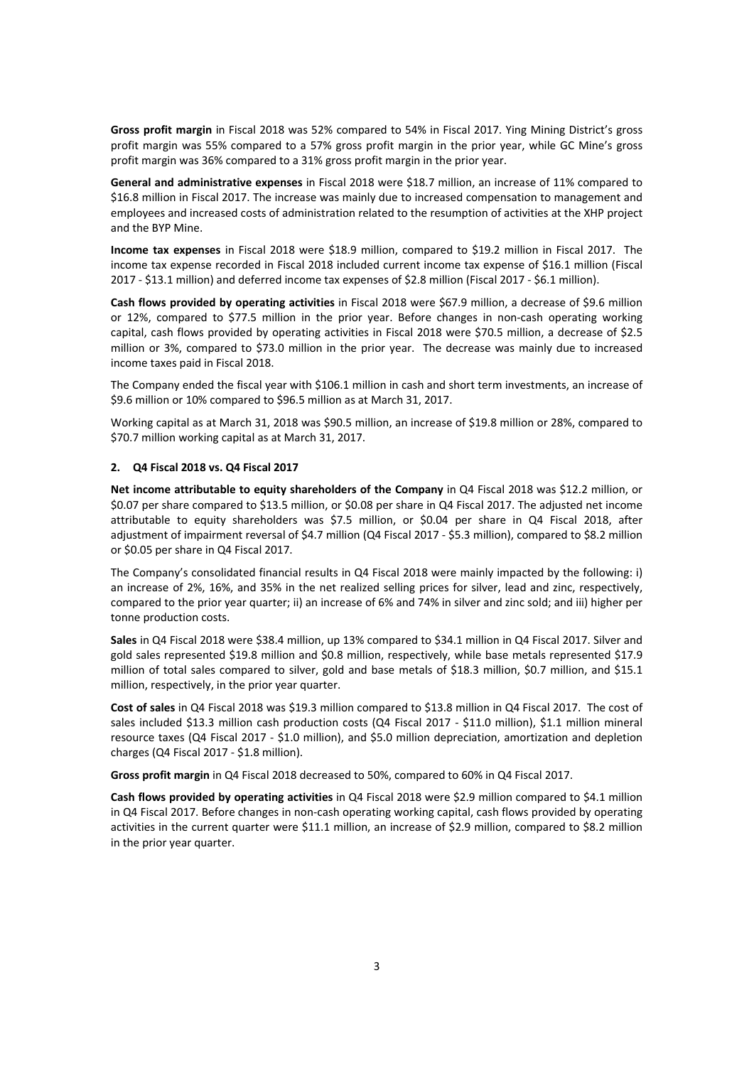**Gross profit margin** in Fiscal 2018 was 52% compared to 54% in Fiscal 2017. Ying Mining District's gross profit margin was 55% compared to a 57% gross profit margin in the prior year, while GC Mine's gross profit margin was 36% compared to a 31% gross profit margin in the prior year.

**General and administrative expenses** in Fiscal 2018 were \$18.7 million, an increase of 11% compared to \$16.8 million in Fiscal 2017. The increase was mainly due to increased compensation to management and employees and increased costs of administration related to the resumption of activities at the XHP project and the BYP Mine.

**Income tax expenses** in Fiscal 2018 were \$18.9 million, compared to \$19.2 million in Fiscal 2017. The income tax expense recorded in Fiscal 2018 included current income tax expense of \$16.1 million (Fiscal 2017 ‐ \$13.1 million) and deferred income tax expenses of \$2.8 million (Fiscal 2017 ‐ \$6.1 million).

**Cash flows provided by operating activities** in Fiscal 2018 were \$67.9 million, a decrease of \$9.6 million or 12%, compared to \$77.5 million in the prior year. Before changes in non-cash operating working capital, cash flows provided by operating activities in Fiscal 2018 were \$70.5 million, a decrease of \$2.5 million or 3%, compared to \$73.0 million in the prior year. The decrease was mainly due to increased income taxes paid in Fiscal 2018.

The Company ended the fiscal year with \$106.1 million in cash and short term investments, an increase of \$9.6 million or 10% compared to \$96.5 million as at March 31, 2017.

Working capital as at March 31, 2018 was \$90.5 million, an increase of \$19.8 million or 28%, compared to \$70.7 million working capital as at March 31, 2017.

### **2. Q4 Fiscal 2018 vs. Q4 Fiscal 2017**

**Net income attributable to equity shareholders of the Company** in Q4 Fiscal 2018 was \$12.2 million, or \$0.07 per share compared to \$13.5 million, or \$0.08 per share in Q4 Fiscal 2017. The adjusted net income attributable to equity shareholders was \$7.5 million, or \$0.04 per share in Q4 Fiscal 2018, after adjustment of impairment reversal of \$4.7 million (Q4 Fiscal 2017 ‐ \$5.3 million), compared to \$8.2 million or \$0.05 per share in Q4 Fiscal 2017.

The Company's consolidated financial results in Q4 Fiscal 2018 were mainly impacted by the following: i) an increase of 2%, 16%, and 35% in the net realized selling prices for silver, lead and zinc, respectively, compared to the prior year quarter; ii) an increase of 6% and 74% in silver and zinc sold; and iii) higher per tonne production costs.

**Sales** in Q4 Fiscal 2018 were \$38.4 million, up 13% compared to \$34.1 million in Q4 Fiscal 2017. Silver and gold sales represented \$19.8 million and \$0.8 million, respectively, while base metals represented \$17.9 million of total sales compared to silver, gold and base metals of \$18.3 million, \$0.7 million, and \$15.1 million, respectively, in the prior year quarter.

**Cost of sales** in Q4 Fiscal 2018 was \$19.3 million compared to \$13.8 million in Q4 Fiscal 2017. The cost of sales included \$13.3 million cash production costs (Q4 Fiscal 2017 - \$11.0 million), \$1.1 million mineral resource taxes (Q4 Fiscal 2017 ‐ \$1.0 million), and \$5.0 million depreciation, amortization and depletion charges (Q4 Fiscal 2017 - \$1.8 million).

**Gross profit margin** in Q4 Fiscal 2018 decreased to 50%, compared to 60% in Q4 Fiscal 2017.

**Cash flows provided by operating activities** in Q4 Fiscal 2018 were \$2.9 million compared to \$4.1 million in Q4 Fiscal 2017. Before changes in non-cash operating working capital, cash flows provided by operating activities in the current quarter were \$11.1 million, an increase of \$2.9 million, compared to \$8.2 million in the prior year quarter.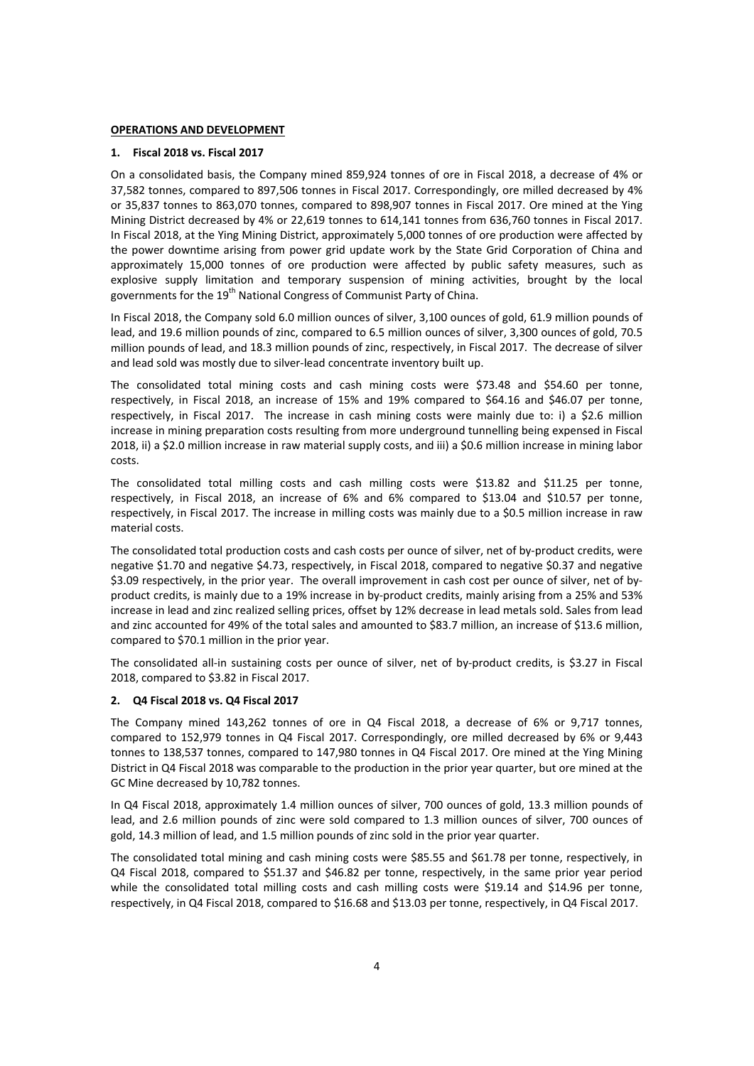### **OPERATIONS AND DEVELOPMENT**

### **1. Fiscal 2018 vs. Fiscal 2017**

On a consolidated basis, the Company mined 859,924 tonnes of ore in Fiscal 2018, a decrease of 4% or 37,582 tonnes, compared to 897,506 tonnes in Fiscal 2017. Correspondingly, ore milled decreased by 4% or 35,837 tonnes to 863,070 tonnes, compared to 898,907 tonnes in Fiscal 2017. Ore mined at the Ying Mining District decreased by 4% or 22,619 tonnes to 614,141 tonnes from 636,760 tonnes in Fiscal 2017. In Fiscal 2018, at the Ying Mining District, approximately 5,000 tonnes of ore production were affected by the power downtime arising from power grid update work by the State Grid Corporation of China and approximately 15,000 tonnes of ore production were affected by public safety measures, such as explosive supply limitation and temporary suspension of mining activities, brought by the local governments for the 19<sup>th</sup> National Congress of Communist Party of China.

In Fiscal 2018, the Company sold 6.0 million ounces of silver, 3,100 ounces of gold, 61.9 million pounds of lead, and 19.6 million pounds of zinc, compared to 6.5 million ounces of silver, 3,300 ounces of gold, 70.5 million pounds of lead, and 18.3 million pounds of zinc, respectively, in Fiscal 2017. The decrease of silver and lead sold was mostly due to silver‐lead concentrate inventory built up.

The consolidated total mining costs and cash mining costs were \$73.48 and \$54.60 per tonne, respectively, in Fiscal 2018, an increase of 15% and 19% compared to \$64.16 and \$46.07 per tonne, respectively, in Fiscal 2017. The increase in cash mining costs were mainly due to: i) a \$2.6 million increase in mining preparation costs resulting from more underground tunnelling being expensed in Fiscal 2018, ii) a \$2.0 million increase in raw material supply costs, and iii) a \$0.6 million increase in mining labor costs.

The consolidated total milling costs and cash milling costs were \$13.82 and \$11.25 per tonne, respectively, in Fiscal 2018, an increase of 6% and 6% compared to \$13.04 and \$10.57 per tonne, respectively, in Fiscal 2017. The increase in milling costs was mainly due to a \$0.5 million increase in raw material costs.

The consolidated total production costs and cash costs per ounce of silver, net of by-product credits, were negative \$1.70 and negative \$4.73, respectively, in Fiscal 2018, compared to negative \$0.37 and negative \$3.09 respectively, in the prior year. The overall improvement in cash cost per ounce of silver, net of byproduct credits, is mainly due to a 19% increase in by‐product credits, mainly arising from a 25% and 53% increase in lead and zinc realized selling prices, offset by 12% decrease in lead metals sold. Sales from lead and zinc accounted for 49% of the total sales and amounted to \$83.7 million, an increase of \$13.6 million, compared to \$70.1 million in the prior year.

The consolidated all-in sustaining costs per ounce of silver, net of by-product credits, is \$3.27 in Fiscal 2018, compared to \$3.82 in Fiscal 2017.

#### **2. Q4 Fiscal 2018 vs. Q4 Fiscal 2017**

The Company mined 143,262 tonnes of ore in Q4 Fiscal 2018, a decrease of 6% or 9,717 tonnes, compared to 152,979 tonnes in Q4 Fiscal 2017. Correspondingly, ore milled decreased by 6% or 9,443 tonnes to 138,537 tonnes, compared to 147,980 tonnes in Q4 Fiscal 2017. Ore mined at the Ying Mining District in Q4 Fiscal 2018 was comparable to the production in the prior year quarter, but ore mined at the GC Mine decreased by 10,782 tonnes.

In Q4 Fiscal 2018, approximately 1.4 million ounces of silver, 700 ounces of gold, 13.3 million pounds of lead, and 2.6 million pounds of zinc were sold compared to 1.3 million ounces of silver, 700 ounces of gold, 14.3 million of lead, and 1.5 million pounds of zinc sold in the prior year quarter.

The consolidated total mining and cash mining costs were \$85.55 and \$61.78 per tonne, respectively, in Q4 Fiscal 2018, compared to \$51.37 and \$46.82 per tonne, respectively, in the same prior year period while the consolidated total milling costs and cash milling costs were \$19.14 and \$14.96 per tonne, respectively, in Q4 Fiscal 2018, compared to \$16.68 and \$13.03 per tonne, respectively, in Q4 Fiscal 2017.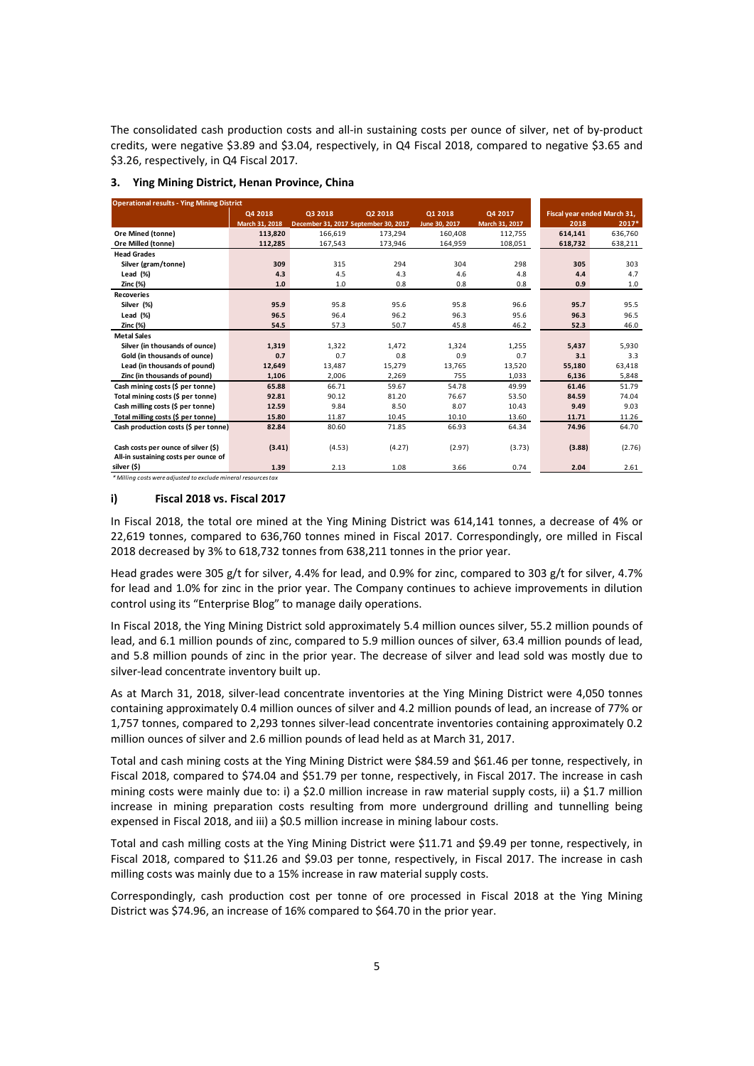The consolidated cash production costs and all-in sustaining costs per ounce of silver, net of by-product credits, were negative \$3.89 and \$3.04, respectively, in Q4 Fiscal 2018, compared to negative \$3.65 and \$3.26, respectively, in Q4 Fiscal 2017.

| <b>Operational results - Ying Mining District</b> |                |                                      |         |               |                |         |                             |
|---------------------------------------------------|----------------|--------------------------------------|---------|---------------|----------------|---------|-----------------------------|
|                                                   | Q4 2018        | Q3 2018                              | Q2 2018 | Q1 2018       | Q4 2017        |         | Fiscal year ended March 31, |
|                                                   | March 31, 2018 | December 31, 2017 September 30, 2017 |         | June 30, 2017 | March 31, 2017 | 2018    | 2017*                       |
| Ore Mined (tonne)                                 | 113.820        | 166,619                              | 173.294 | 160.408       | 112.755        | 614,141 | 636,760                     |
| Ore Milled (tonne)                                | 112,285        | 167,543                              | 173,946 | 164,959       | 108,051        | 618,732 | 638,211                     |
| <b>Head Grades</b>                                |                |                                      |         |               |                |         |                             |
| Silver (gram/tonne)                               | 309            | 315                                  | 294     | 304           | 298            | 305     | 303                         |
| Lead (%)                                          | 4.3            | 4.5                                  | 4.3     | 4.6           | 4.8            | 4.4     | 4.7                         |
| Zinc (%)                                          | 1.0            | 1.0                                  | 0.8     | 0.8           | 0.8            | 0.9     | $1.0\,$                     |
| <b>Recoveries</b>                                 |                |                                      |         |               |                |         |                             |
| Silver (%)                                        | 95.9           | 95.8                                 | 95.6    | 95.8          | 96.6           | 95.7    | 95.5                        |
| Lead (%)                                          | 96.5           | 96.4                                 | 96.2    | 96.3          | 95.6           | 96.3    | 96.5                        |
| Zinc (%)                                          | 54.5           | 57.3                                 | 50.7    | 45.8          | 46.2           | 52.3    | 46.0                        |
| <b>Metal Sales</b>                                |                |                                      |         |               |                |         |                             |
| Silver (in thousands of ounce)                    | 1,319          | 1,322                                | 1,472   | 1,324         | 1,255          | 5,437   | 5,930                       |
| Gold (in thousands of ounce)                      | 0.7            | 0.7                                  | 0.8     | 0.9           | 0.7            | 3.1     | 3.3                         |
| Lead (in thousands of pound)                      | 12,649         | 13,487                               | 15,279  | 13,765        | 13,520         | 55,180  | 63,418                      |
| Zinc (in thousands of pound)                      | 1,106          | 2,006                                | 2,269   | 755           | 1,033          | 6,136   | 5,848                       |
| Cash mining costs (\$ per tonne)                  | 65.88          | 66.71                                | 59.67   | 54.78         | 49.99          | 61.46   | 51.79                       |
| Total mining costs (\$ per tonne)                 | 92.81          | 90.12                                | 81.20   | 76.67         | 53.50          | 84.59   | 74.04                       |
| Cash milling costs (\$ per tonne)                 | 12.59          | 9.84                                 | 8.50    | 8.07          | 10.43          | 9.49    | 9.03                        |
| Total milling costs (\$ per tonne)                | 15.80          | 11.87                                | 10.45   | 10.10         | 13.60          | 11.71   | 11.26                       |
| Cash production costs (\$ per tonne)              | 82.84          | 80.60                                | 71.85   | 66.93         | 64.34          | 74.96   | 64.70                       |
|                                                   |                |                                      |         |               |                |         |                             |
| Cash costs per ounce of silver (\$)               | (3.41)         | (4.53)                               | (4.27)  | (2.97)        | (3.73)         | (3.88)  | (2.76)                      |
| All-in sustaining costs per ounce of              |                |                                      |         |               |                |         |                             |
| silver (\$)                                       | 1.39           | 2.13                                 | 1.08    | 3.66          | 0.74           | 2.04    | 2.61                        |

#### **3. Ying Mining District, Henan Province, China**

*\* Milling costs were adjusted to exclude mineral resourcestax*

#### **i) Fiscal 2018 vs. Fiscal 2017**

In Fiscal 2018, the total ore mined at the Ying Mining District was 614,141 tonnes, a decrease of 4% or 22,619 tonnes, compared to 636,760 tonnes mined in Fiscal 2017. Correspondingly, ore milled in Fiscal 2018 decreased by 3% to 618,732 tonnes from 638,211 tonnes in the prior year.

Head grades were 305 g/t for silver, 4.4% for lead, and 0.9% for zinc, compared to 303 g/t for silver, 4.7% for lead and 1.0% for zinc in the prior year. The Company continues to achieve improvements in dilution control using its "Enterprise Blog" to manage daily operations.

In Fiscal 2018, the Ying Mining District sold approximately 5.4 million ounces silver, 55.2 million pounds of lead, and 6.1 million pounds of zinc, compared to 5.9 million ounces of silver, 63.4 million pounds of lead, and 5.8 million pounds of zinc in the prior year. The decrease of silver and lead sold was mostly due to silver-lead concentrate inventory built up.

As at March 31, 2018, silver‐lead concentrate inventories at the Ying Mining District were 4,050 tonnes containing approximately 0.4 million ounces of silver and 4.2 million pounds of lead, an increase of 77% or 1,757 tonnes, compared to 2,293 tonnes silver‐lead concentrate inventories containing approximately 0.2 million ounces of silver and 2.6 million pounds of lead held as at March 31, 2017.

Total and cash mining costs at the Ying Mining District were \$84.59 and \$61.46 per tonne, respectively, in Fiscal 2018, compared to \$74.04 and \$51.79 per tonne, respectively, in Fiscal 2017. The increase in cash mining costs were mainly due to: i) a \$2.0 million increase in raw material supply costs, ii) a \$1.7 million increase in mining preparation costs resulting from more underground drilling and tunnelling being expensed in Fiscal 2018, and iii) a \$0.5 million increase in mining labour costs.

Total and cash milling costs at the Ying Mining District were \$11.71 and \$9.49 per tonne, respectively, in Fiscal 2018, compared to \$11.26 and \$9.03 per tonne, respectively, in Fiscal 2017. The increase in cash milling costs was mainly due to a 15% increase in raw material supply costs.

Correspondingly, cash production cost per tonne of ore processed in Fiscal 2018 at the Ying Mining District was \$74.96, an increase of 16% compared to \$64.70 in the prior year.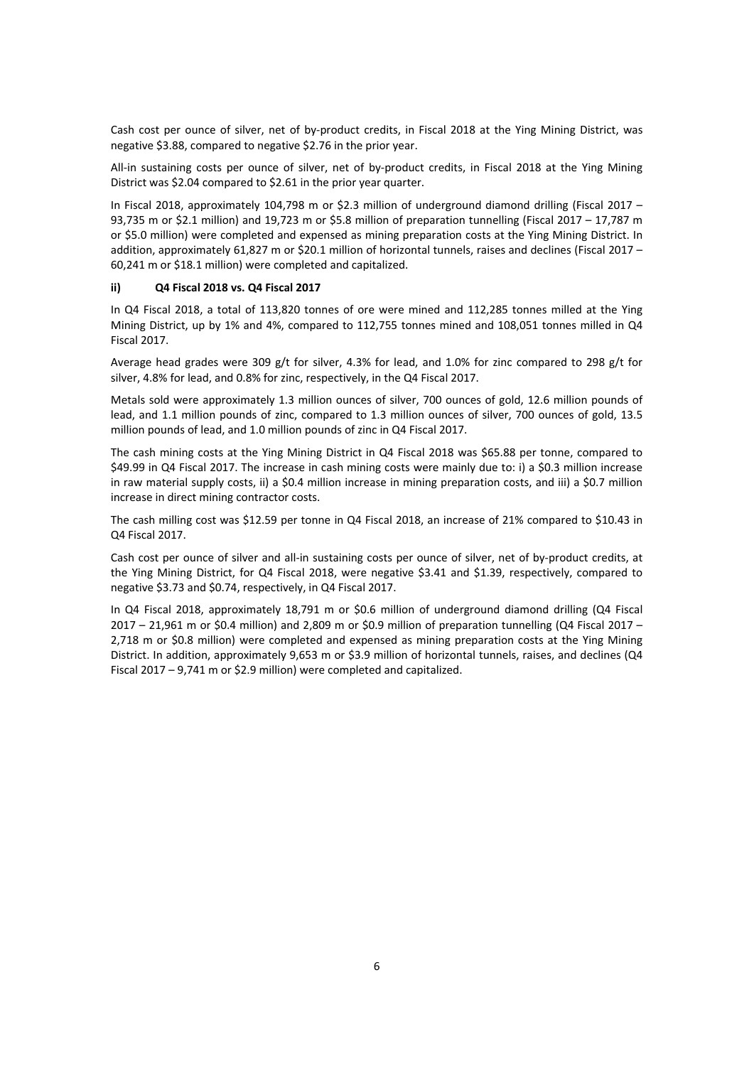Cash cost per ounce of silver, net of by-product credits, in Fiscal 2018 at the Ying Mining District, was negative \$3.88, compared to negative \$2.76 in the prior year.

All-in sustaining costs per ounce of silver, net of by-product credits, in Fiscal 2018 at the Ying Mining District was \$2.04 compared to \$2.61 in the prior year quarter.

In Fiscal 2018, approximately 104,798 m or \$2.3 million of underground diamond drilling (Fiscal 2017 – 93,735 m or \$2.1 million) and 19,723 m or \$5.8 million of preparation tunnelling (Fiscal 2017 – 17,787 m or \$5.0 million) were completed and expensed as mining preparation costs at the Ying Mining District. In addition, approximately 61,827 m or \$20.1 million of horizontal tunnels, raises and declines (Fiscal 2017 – 60,241 m or \$18.1 million) were completed and capitalized.

### **ii) Q4 Fiscal 2018 vs. Q4 Fiscal 2017**

In Q4 Fiscal 2018, a total of 113,820 tonnes of ore were mined and 112,285 tonnes milled at the Ying Mining District, up by 1% and 4%, compared to 112,755 tonnes mined and 108,051 tonnes milled in Q4 Fiscal 2017.

Average head grades were 309 g/t for silver, 4.3% for lead, and 1.0% for zinc compared to 298 g/t for silver, 4.8% for lead, and 0.8% for zinc, respectively, in the Q4 Fiscal 2017.

Metals sold were approximately 1.3 million ounces of silver, 700 ounces of gold, 12.6 million pounds of lead, and 1.1 million pounds of zinc, compared to 1.3 million ounces of silver, 700 ounces of gold, 13.5 million pounds of lead, and 1.0 million pounds of zinc in Q4 Fiscal 2017.

The cash mining costs at the Ying Mining District in Q4 Fiscal 2018 was \$65.88 per tonne, compared to \$49.99 in Q4 Fiscal 2017. The increase in cash mining costs were mainly due to: i) a \$0.3 million increase in raw material supply costs, ii) a \$0.4 million increase in mining preparation costs, and iii) a \$0.7 million increase in direct mining contractor costs.

The cash milling cost was \$12.59 per tonne in Q4 Fiscal 2018, an increase of 21% compared to \$10.43 in Q4 Fiscal 2017.

Cash cost per ounce of silver and all-in sustaining costs per ounce of silver, net of by-product credits, at the Ying Mining District, for Q4 Fiscal 2018, were negative \$3.41 and \$1.39, respectively, compared to negative \$3.73 and \$0.74, respectively, in Q4 Fiscal 2017.

In Q4 Fiscal 2018, approximately 18,791 m or \$0.6 million of underground diamond drilling (Q4 Fiscal 2017 – 21,961 m or \$0.4 million) and 2,809 m or \$0.9 million of preparation tunnelling (Q4 Fiscal 2017 – 2,718 m or \$0.8 million) were completed and expensed as mining preparation costs at the Ying Mining District. In addition, approximately 9,653 m or \$3.9 million of horizontal tunnels, raises, and declines (Q4 Fiscal 2017 – 9,741 m or \$2.9 million) were completed and capitalized.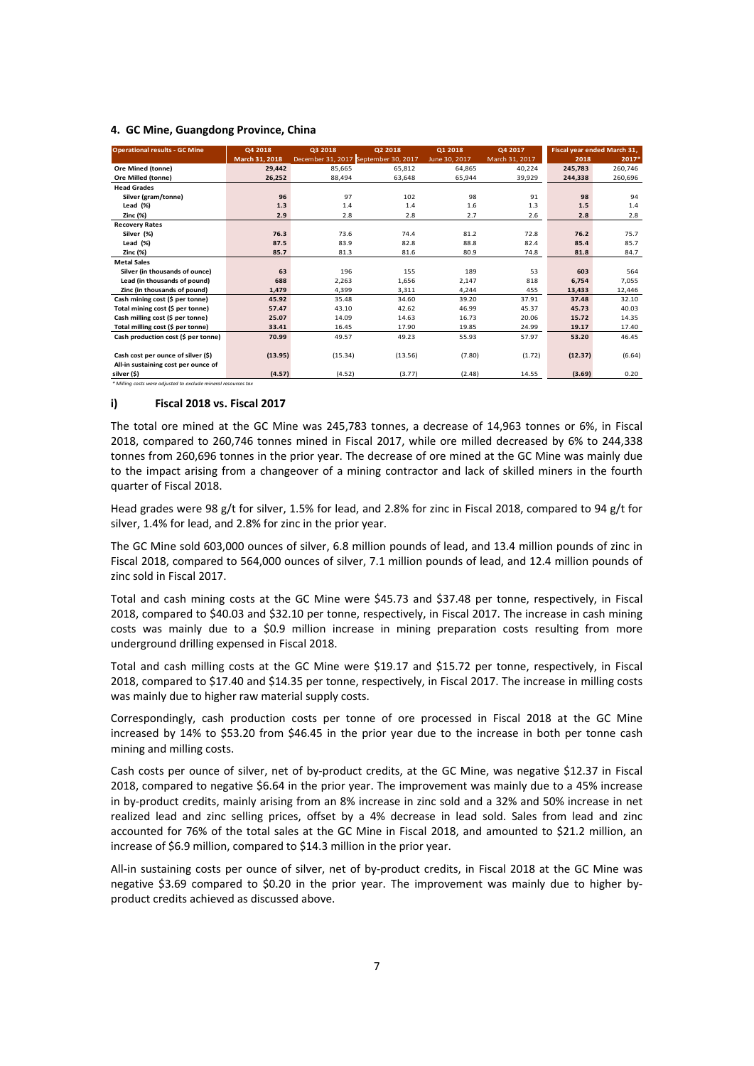### **4. GC Mine, Guangdong Province, China**

| <b>Operational results - GC Mine</b> | Q4 2018        | Q3 2018<br>Q2 2018                   |         | Q1 2018       | Q4 2017        |         | Fiscal year ended March 31, |
|--------------------------------------|----------------|--------------------------------------|---------|---------------|----------------|---------|-----------------------------|
|                                      | March 31, 2018 | December 31, 2017 September 30, 2017 |         | June 30, 2017 | March 31, 2017 | 2018    | 2017*                       |
| <b>Ore Mined (tonne)</b>             | 29.442         | 85.665                               | 65.812  | 64.865        | 40.224         | 245.783 | 260,746                     |
| Ore Milled (tonne)                   | 26,252         | 88,494                               | 63,648  | 65,944        | 39,929         | 244,338 | 260,696                     |
| <b>Head Grades</b>                   |                |                                      |         |               |                |         |                             |
| Silver (gram/tonne)                  | 96             | 97                                   | 102     | 98            | 91             | 98      | 94                          |
| Lead $(\%)$                          | 1.3            | 1.4                                  | 1.4     | 1.6           | 1.3            | 1.5     | 1.4                         |
| Zinc (%)                             | 2.9            | 2.8                                  | 2.8     | 2.7           | 2.6            | 2.8     | 2.8                         |
| <b>Recovery Rates</b>                |                |                                      |         |               |                |         |                             |
| Silver (%)                           | 76.3           | 73.6                                 | 74.4    | 81.2          | 72.8           | 76.2    | 75.7                        |
| Lead $(*)$                           | 87.5           | 83.9                                 | 82.8    | 88.8          | 82.4           | 85.4    | 85.7                        |
| Zinc (%)                             | 85.7           | 81.3                                 | 81.6    | 80.9          | 74.8           | 81.8    | 84.7                        |
| <b>Metal Sales</b>                   |                |                                      |         |               |                |         |                             |
| Silver (in thousands of ounce)       | 63             | 196                                  | 155     | 189           | 53             | 603     | 564                         |
| Lead (in thousands of pound)         | 688            | 2,263                                | 1,656   | 2,147         | 818            | 6,754   | 7,055                       |
| Zinc (in thousands of pound)         | 1,479          | 4,399                                | 3,311   | 4,244         | 455            | 13,433  | 12,446                      |
| Cash mining cost (\$ per tonne)      | 45.92          | 35.48                                | 34.60   | 39.20         | 37.91          | 37.48   | 32.10                       |
| Total mining cost (\$ per tonne)     | 57.47          | 43.10                                | 42.62   | 46.99         | 45.37          | 45.73   | 40.03                       |
| Cash milling cost (\$ per tonne)     | 25.07          | 14.09                                | 14.63   | 16.73         | 20.06          | 15.72   | 14.35                       |
| Total milling cost (\$ per tonne)    | 33.41          | 16.45                                | 17.90   | 19.85         | 24.99          | 19.17   | 17.40                       |
| Cash production cost (\$ per tonne)  | 70.99          | 49.57                                | 49.23   | 55.93         | 57.97          | 53.20   | 46.45                       |
|                                      |                |                                      |         |               |                |         |                             |
| Cash cost per ounce of silver (\$)   | (13.95)        | (15.34)                              | (13.56) | (7.80)        | (1.72)         | (12.37) | (6.64)                      |
| All-in sustaining cost per ounce of  |                |                                      |         |               |                |         |                             |
| silver (\$)                          | (4.57)         | (4.52)                               | (3.77)  | (2.48)        | 14.55          | (3.69)  | 0.20                        |

*\* Milling costs were adjusted to exclude mineral resources tax*

#### **i) Fiscal 2018 vs. Fiscal 2017**

The total ore mined at the GC Mine was 245,783 tonnes, a decrease of 14,963 tonnes or 6%, in Fiscal 2018, compared to 260,746 tonnes mined in Fiscal 2017, while ore milled decreased by 6% to 244,338 tonnes from 260,696 tonnes in the prior year. The decrease of ore mined at the GC Mine was mainly due to the impact arising from a changeover of a mining contractor and lack of skilled miners in the fourth quarter of Fiscal 2018.

Head grades were 98 g/t for silver, 1.5% for lead, and 2.8% for zinc in Fiscal 2018, compared to 94 g/t for silver, 1.4% for lead, and 2.8% for zinc in the prior year.

The GC Mine sold 603,000 ounces of silver, 6.8 million pounds of lead, and 13.4 million pounds of zinc in Fiscal 2018, compared to 564,000 ounces of silver, 7.1 million pounds of lead, and 12.4 million pounds of zinc sold in Fiscal 2017.

Total and cash mining costs at the GC Mine were \$45.73 and \$37.48 per tonne, respectively, in Fiscal 2018, compared to \$40.03 and \$32.10 per tonne, respectively, in Fiscal 2017. The increase in cash mining costs was mainly due to a \$0.9 million increase in mining preparation costs resulting from more underground drilling expensed in Fiscal 2018.

Total and cash milling costs at the GC Mine were \$19.17 and \$15.72 per tonne, respectively, in Fiscal 2018, compared to \$17.40 and \$14.35 per tonne, respectively, in Fiscal 2017. The increase in milling costs was mainly due to higher raw material supply costs.

Correspondingly, cash production costs per tonne of ore processed in Fiscal 2018 at the GC Mine increased by 14% to \$53.20 from \$46.45 in the prior year due to the increase in both per tonne cash mining and milling costs.

Cash costs per ounce of silver, net of by‐product credits, at the GC Mine, was negative \$12.37 in Fiscal 2018, compared to negative \$6.64 in the prior year. The improvement was mainly due to a 45% increase in by-product credits, mainly arising from an 8% increase in zinc sold and a 32% and 50% increase in net realized lead and zinc selling prices, offset by a 4% decrease in lead sold. Sales from lead and zinc accounted for 76% of the total sales at the GC Mine in Fiscal 2018, and amounted to \$21.2 million, an increase of \$6.9 million, compared to \$14.3 million in the prior year.

All-in sustaining costs per ounce of silver, net of by-product credits, in Fiscal 2018 at the GC Mine was negative \$3.69 compared to \$0.20 in the prior year. The improvement was mainly due to higher byproduct credits achieved as discussed above.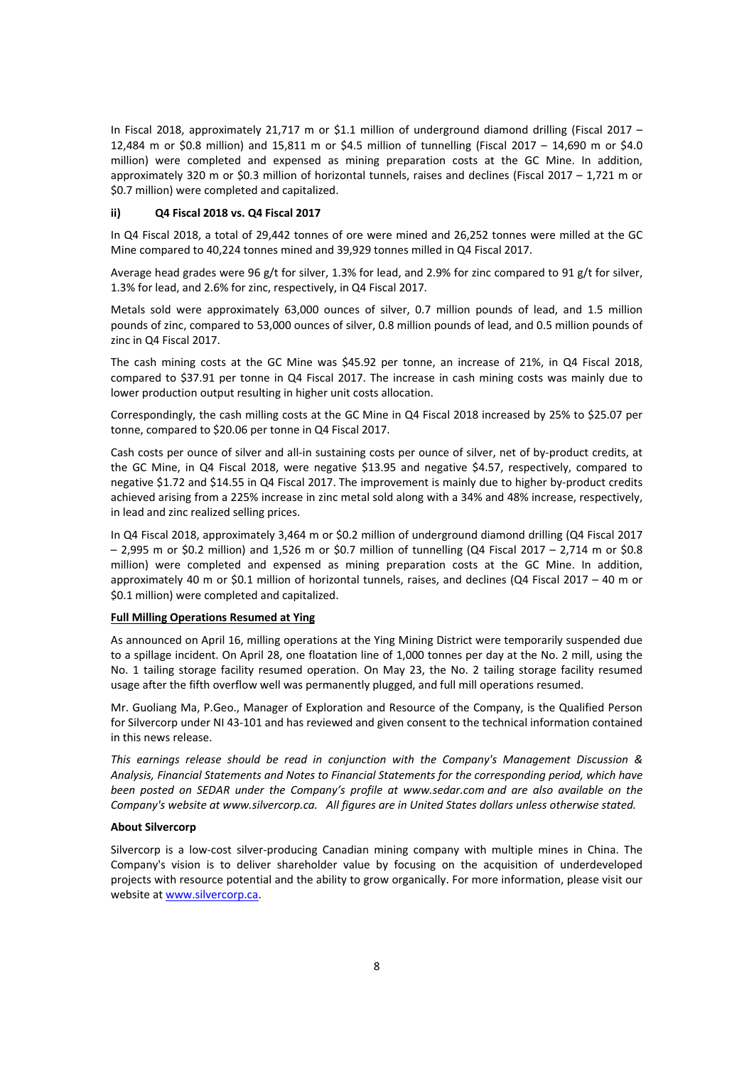In Fiscal 2018, approximately 21,717 m or \$1.1 million of underground diamond drilling (Fiscal 2017 -12,484 m or \$0.8 million) and 15,811 m or \$4.5 million of tunnelling (Fiscal 2017 – 14,690 m or \$4.0 million) were completed and expensed as mining preparation costs at the GC Mine. In addition, approximately 320 m or \$0.3 million of horizontal tunnels, raises and declines (Fiscal 2017 – 1,721 m or \$0.7 million) were completed and capitalized.

### **ii) Q4 Fiscal 2018 vs. Q4 Fiscal 2017**

In Q4 Fiscal 2018, a total of 29,442 tonnes of ore were mined and 26,252 tonnes were milled at the GC Mine compared to 40,224 tonnes mined and 39,929 tonnes milled in Q4 Fiscal 2017.

Average head grades were 96 g/t for silver, 1.3% for lead, and 2.9% for zinc compared to 91 g/t for silver, 1.3% for lead, and 2.6% for zinc, respectively, in Q4 Fiscal 2017.

Metals sold were approximately 63,000 ounces of silver, 0.7 million pounds of lead, and 1.5 million pounds of zinc, compared to 53,000 ounces of silver, 0.8 million pounds of lead, and 0.5 million pounds of zinc in Q4 Fiscal 2017.

The cash mining costs at the GC Mine was \$45.92 per tonne, an increase of 21%, in Q4 Fiscal 2018, compared to \$37.91 per tonne in Q4 Fiscal 2017. The increase in cash mining costs was mainly due to lower production output resulting in higher unit costs allocation.

Correspondingly, the cash milling costs at the GC Mine in Q4 Fiscal 2018 increased by 25% to \$25.07 per tonne, compared to \$20.06 per tonne in Q4 Fiscal 2017.

Cash costs per ounce of silver and all‐in sustaining costs per ounce of silver, net of by‐product credits, at the GC Mine, in Q4 Fiscal 2018, were negative \$13.95 and negative \$4.57, respectively, compared to negative \$1.72 and \$14.55 in Q4 Fiscal 2017. The improvement is mainly due to higher by‐product credits achieved arising from a 225% increase in zinc metal sold along with a 34% and 48% increase, respectively, in lead and zinc realized selling prices.

In Q4 Fiscal 2018, approximately 3,464 m or \$0.2 million of underground diamond drilling (Q4 Fiscal 2017 – 2,995 m or \$0.2 million) and 1,526 m or \$0.7 million of tunnelling (Q4 Fiscal 2017 – 2,714 m or \$0.8 million) were completed and expensed as mining preparation costs at the GC Mine. In addition, approximately 40 m or \$0.1 million of horizontal tunnels, raises, and declines (Q4 Fiscal 2017 – 40 m or \$0.1 million) were completed and capitalized.

### **Full Milling Operations Resumed at Ying**

As announced on April 16, milling operations at the Ying Mining District were temporarily suspended due to a spillage incident. On April 28, one floatation line of 1,000 tonnes per day at the No. 2 mill, using the No. 1 tailing storage facility resumed operation. On May 23, the No. 2 tailing storage facility resumed usage after the fifth overflow well was permanently plugged, and full mill operations resumed.

Mr. Guoliang Ma, P.Geo., Manager of Exploration and Resource of the Company, is the Qualified Person for Silvercorp under NI 43‐101 and has reviewed and given consent to the technical information contained in this news release.

*This earnings release should be read in conjunction with the Company's Management Discussion & Analysis, Financial Statements and Notes to Financial Statements for the corresponding period, which have been posted on SEDAR under the Company's profile at www.sedar.com and are also available on the Company's website at www.silvercorp.ca. All figures are in United States dollars unless otherwise stated.*

### **About Silvercorp**

Silvercorp is a low‐cost silver‐producing Canadian mining company with multiple mines in China. The Company's vision is to deliver shareholder value by focusing on the acquisition of underdeveloped projects with resource potential and the ability to grow organically. For more information, please visit our website at www.silvercorp.ca.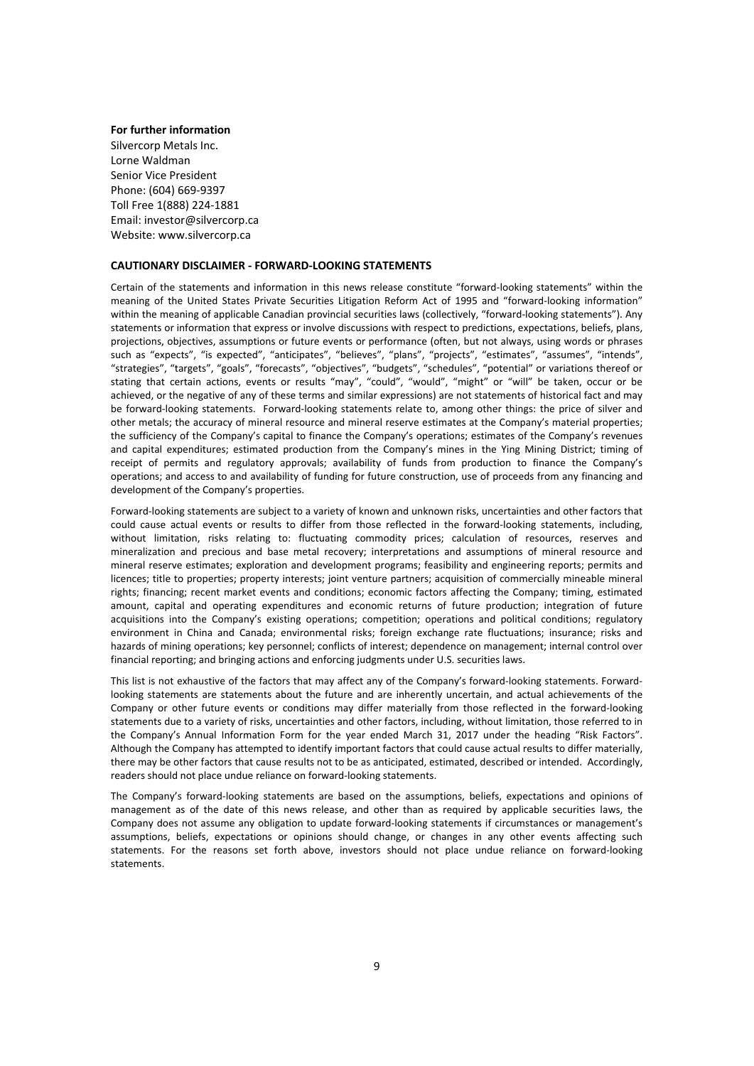#### **For further information**

Silvercorp Metals Inc. Lorne Waldman Senior Vice President Phone: (604) 669‐9397 Toll Free 1(888) 224‐1881 Email: investor@silvercorp.ca Website: www.silvercorp.ca

#### **CAUTIONARY DISCLAIMER ‐ FORWARD‐LOOKING STATEMENTS**

Certain of the statements and information in this news release constitute "forward‐looking statements" within the meaning of the United States Private Securities Litigation Reform Act of 1995 and "forward‐looking information" within the meaning of applicable Canadian provincial securities laws (collectively, "forward-looking statements"). Any statements or information that express or involve discussions with respect to predictions, expectations, beliefs, plans, projections, objectives, assumptions or future events or performance (often, but not always, using words or phrases such as "expects", "is expected", "anticipates", "believes", "plans", "projects", "estimates", "assumes", "intends", "strategies", "targets", "goals", "forecasts", "objectives", "budgets", "schedules", "potential" or variations thereof or stating that certain actions, events or results "may", "could", "would", "might" or "will" be taken, occur or be achieved, or the negative of any of these terms and similar expressions) are not statements of historical fact and may be forward-looking statements. Forward-looking statements relate to, among other things: the price of silver and other metals; the accuracy of mineral resource and mineral reserve estimates at the Company's material properties; the sufficiency of the Company's capital to finance the Company's operations; estimates of the Company's revenues and capital expenditures; estimated production from the Company's mines in the Ying Mining District; timing of receipt of permits and regulatory approvals; availability of funds from production to finance the Company's operations; and access to and availability of funding for future construction, use of proceeds from any financing and development of the Company's properties.

Forward‐looking statements are subject to a variety of known and unknown risks, uncertainties and other factors that could cause actual events or results to differ from those reflected in the forward‐looking statements, including, without limitation, risks relating to: fluctuating commodity prices; calculation of resources, reserves and mineralization and precious and base metal recovery; interpretations and assumptions of mineral resource and mineral reserve estimates; exploration and development programs; feasibility and engineering reports; permits and licences; title to properties; property interests; joint venture partners; acquisition of commercially mineable mineral rights; financing; recent market events and conditions; economic factors affecting the Company; timing, estimated amount, capital and operating expenditures and economic returns of future production; integration of future acquisitions into the Company's existing operations; competition; operations and political conditions; regulatory environment in China and Canada; environmental risks; foreign exchange rate fluctuations; insurance; risks and hazards of mining operations; key personnel; conflicts of interest; dependence on management; internal control over financial reporting; and bringing actions and enforcing judgments under U.S. securities laws.

This list is not exhaustive of the factors that may affect any of the Company's forward-looking statements. Forwardlooking statements are statements about the future and are inherently uncertain, and actual achievements of the Company or other future events or conditions may differ materially from those reflected in the forward‐looking statements due to a variety of risks, uncertainties and other factors, including, without limitation, those referred to in the Company's Annual Information Form for the year ended March 31, 2017 under the heading "Risk Factors". Although the Company has attempted to identify important factors that could cause actual results to differ materially, there may be other factors that cause results not to be as anticipated, estimated, described or intended. Accordingly, readers should not place undue reliance on forward‐looking statements.

The Company's forward-looking statements are based on the assumptions, beliefs, expectations and opinions of management as of the date of this news release, and other than as required by applicable securities laws, the Company does not assume any obligation to update forward-looking statements if circumstances or management's assumptions, beliefs, expectations or opinions should change, or changes in any other events affecting such statements. For the reasons set forth above, investors should not place undue reliance on forward-looking statements.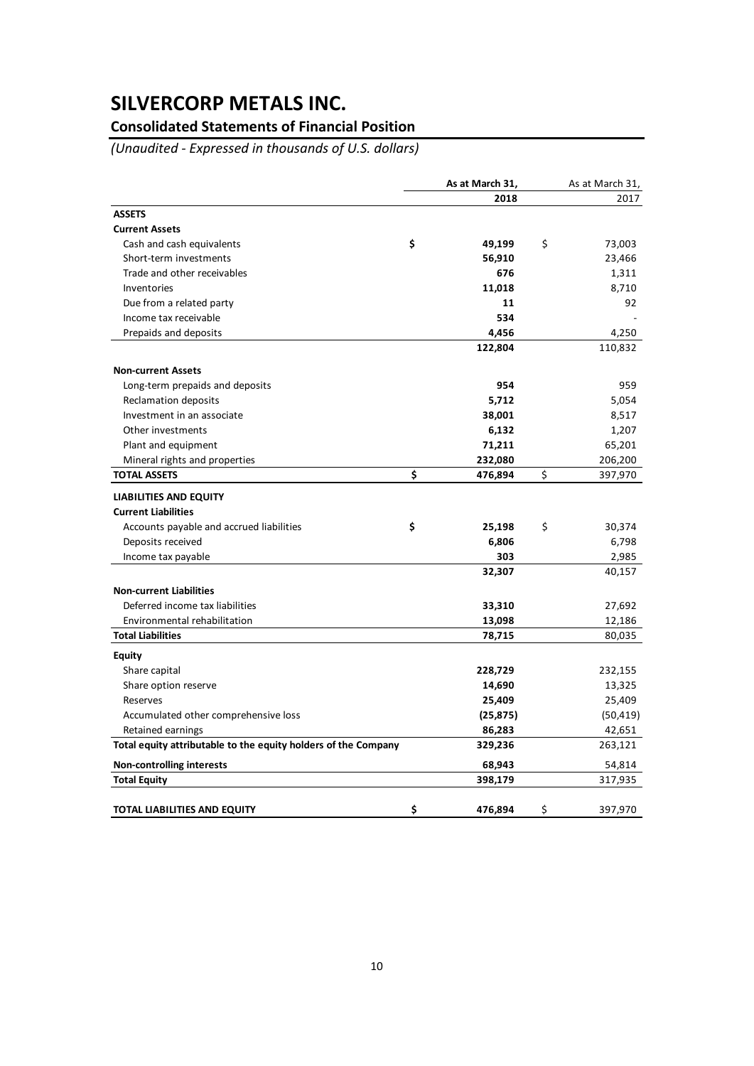### **Consolidated Statements of Financial Position**

*(Unaudited ‐ Expressed in thousands of U.S. dollars)*

| 2018<br><b>ASSETS</b><br><b>Current Assets</b><br>\$<br>\$<br>73,003<br>Cash and cash equivalents<br>49,199<br>Short-term investments<br>56,910<br>23,466<br>Trade and other receivables<br>676<br>1,311<br>8,710<br>Inventories<br>11,018<br>Due from a related party<br>11<br>92<br>534<br>Income tax receivable<br>4,456<br>4,250<br>Prepaids and deposits<br>122,804<br>110,832<br><b>Non-current Assets</b><br>959<br>Long-term prepaids and deposits<br>954<br>5,712<br>5,054<br>Reclamation deposits<br>Investment in an associate<br>38,001<br>8,517<br>Other investments<br>6,132<br>1,207<br>71,211<br>Plant and equipment<br>65,201<br>232,080<br>Mineral rights and properties<br>206,200<br>\$<br>\$<br><b>TOTAL ASSETS</b><br>476,894<br>397,970<br><b>LIABILITIES AND EQUITY</b><br><b>Current Liabilities</b><br>\$<br>\$<br>Accounts payable and accrued liabilities<br>25,198<br>30,374<br>Deposits received<br>6,806<br>6,798<br>303<br>2,985<br>Income tax payable<br>32,307<br>40,157<br><b>Non-current Liabilities</b><br>Deferred income tax liabilities<br>33,310<br>27,692<br>Environmental rehabilitation<br>13,098<br>12,186<br><b>Total Liabilities</b><br>78,715<br>80,035<br><b>Equity</b><br>Share capital<br>228,729<br>232,155<br>14,690<br>Share option reserve<br>13,325<br>25,409<br>25,409<br>Reserves<br>Accumulated other comprehensive loss<br>(25, 875)<br>86,283<br>42,651<br>Retained earnings<br>Total equity attributable to the equity holders of the Company<br>329,236<br>263,121<br><b>Non-controlling interests</b><br>68,943<br>54,814<br>398,179<br>317,935<br><b>Total Equity</b> |                                     | As at March 31, | As at March 31, |
|----------------------------------------------------------------------------------------------------------------------------------------------------------------------------------------------------------------------------------------------------------------------------------------------------------------------------------------------------------------------------------------------------------------------------------------------------------------------------------------------------------------------------------------------------------------------------------------------------------------------------------------------------------------------------------------------------------------------------------------------------------------------------------------------------------------------------------------------------------------------------------------------------------------------------------------------------------------------------------------------------------------------------------------------------------------------------------------------------------------------------------------------------------------------------------------------------------------------------------------------------------------------------------------------------------------------------------------------------------------------------------------------------------------------------------------------------------------------------------------------------------------------------------------------------------------------------------------------------------------------------------------|-------------------------------------|-----------------|-----------------|
| (50, 419)                                                                                                                                                                                                                                                                                                                                                                                                                                                                                                                                                                                                                                                                                                                                                                                                                                                                                                                                                                                                                                                                                                                                                                                                                                                                                                                                                                                                                                                                                                                                                                                                                              |                                     |                 | 2017            |
|                                                                                                                                                                                                                                                                                                                                                                                                                                                                                                                                                                                                                                                                                                                                                                                                                                                                                                                                                                                                                                                                                                                                                                                                                                                                                                                                                                                                                                                                                                                                                                                                                                        |                                     |                 |                 |
|                                                                                                                                                                                                                                                                                                                                                                                                                                                                                                                                                                                                                                                                                                                                                                                                                                                                                                                                                                                                                                                                                                                                                                                                                                                                                                                                                                                                                                                                                                                                                                                                                                        |                                     |                 |                 |
|                                                                                                                                                                                                                                                                                                                                                                                                                                                                                                                                                                                                                                                                                                                                                                                                                                                                                                                                                                                                                                                                                                                                                                                                                                                                                                                                                                                                                                                                                                                                                                                                                                        |                                     |                 |                 |
|                                                                                                                                                                                                                                                                                                                                                                                                                                                                                                                                                                                                                                                                                                                                                                                                                                                                                                                                                                                                                                                                                                                                                                                                                                                                                                                                                                                                                                                                                                                                                                                                                                        |                                     |                 |                 |
|                                                                                                                                                                                                                                                                                                                                                                                                                                                                                                                                                                                                                                                                                                                                                                                                                                                                                                                                                                                                                                                                                                                                                                                                                                                                                                                                                                                                                                                                                                                                                                                                                                        |                                     |                 |                 |
|                                                                                                                                                                                                                                                                                                                                                                                                                                                                                                                                                                                                                                                                                                                                                                                                                                                                                                                                                                                                                                                                                                                                                                                                                                                                                                                                                                                                                                                                                                                                                                                                                                        |                                     |                 |                 |
|                                                                                                                                                                                                                                                                                                                                                                                                                                                                                                                                                                                                                                                                                                                                                                                                                                                                                                                                                                                                                                                                                                                                                                                                                                                                                                                                                                                                                                                                                                                                                                                                                                        |                                     |                 |                 |
|                                                                                                                                                                                                                                                                                                                                                                                                                                                                                                                                                                                                                                                                                                                                                                                                                                                                                                                                                                                                                                                                                                                                                                                                                                                                                                                                                                                                                                                                                                                                                                                                                                        |                                     |                 |                 |
|                                                                                                                                                                                                                                                                                                                                                                                                                                                                                                                                                                                                                                                                                                                                                                                                                                                                                                                                                                                                                                                                                                                                                                                                                                                                                                                                                                                                                                                                                                                                                                                                                                        |                                     |                 |                 |
|                                                                                                                                                                                                                                                                                                                                                                                                                                                                                                                                                                                                                                                                                                                                                                                                                                                                                                                                                                                                                                                                                                                                                                                                                                                                                                                                                                                                                                                                                                                                                                                                                                        |                                     |                 |                 |
|                                                                                                                                                                                                                                                                                                                                                                                                                                                                                                                                                                                                                                                                                                                                                                                                                                                                                                                                                                                                                                                                                                                                                                                                                                                                                                                                                                                                                                                                                                                                                                                                                                        |                                     |                 |                 |
|                                                                                                                                                                                                                                                                                                                                                                                                                                                                                                                                                                                                                                                                                                                                                                                                                                                                                                                                                                                                                                                                                                                                                                                                                                                                                                                                                                                                                                                                                                                                                                                                                                        |                                     |                 |                 |
|                                                                                                                                                                                                                                                                                                                                                                                                                                                                                                                                                                                                                                                                                                                                                                                                                                                                                                                                                                                                                                                                                                                                                                                                                                                                                                                                                                                                                                                                                                                                                                                                                                        |                                     |                 |                 |
|                                                                                                                                                                                                                                                                                                                                                                                                                                                                                                                                                                                                                                                                                                                                                                                                                                                                                                                                                                                                                                                                                                                                                                                                                                                                                                                                                                                                                                                                                                                                                                                                                                        |                                     |                 |                 |
|                                                                                                                                                                                                                                                                                                                                                                                                                                                                                                                                                                                                                                                                                                                                                                                                                                                                                                                                                                                                                                                                                                                                                                                                                                                                                                                                                                                                                                                                                                                                                                                                                                        |                                     |                 |                 |
|                                                                                                                                                                                                                                                                                                                                                                                                                                                                                                                                                                                                                                                                                                                                                                                                                                                                                                                                                                                                                                                                                                                                                                                                                                                                                                                                                                                                                                                                                                                                                                                                                                        |                                     |                 |                 |
|                                                                                                                                                                                                                                                                                                                                                                                                                                                                                                                                                                                                                                                                                                                                                                                                                                                                                                                                                                                                                                                                                                                                                                                                                                                                                                                                                                                                                                                                                                                                                                                                                                        |                                     |                 |                 |
|                                                                                                                                                                                                                                                                                                                                                                                                                                                                                                                                                                                                                                                                                                                                                                                                                                                                                                                                                                                                                                                                                                                                                                                                                                                                                                                                                                                                                                                                                                                                                                                                                                        |                                     |                 |                 |
|                                                                                                                                                                                                                                                                                                                                                                                                                                                                                                                                                                                                                                                                                                                                                                                                                                                                                                                                                                                                                                                                                                                                                                                                                                                                                                                                                                                                                                                                                                                                                                                                                                        |                                     |                 |                 |
|                                                                                                                                                                                                                                                                                                                                                                                                                                                                                                                                                                                                                                                                                                                                                                                                                                                                                                                                                                                                                                                                                                                                                                                                                                                                                                                                                                                                                                                                                                                                                                                                                                        |                                     |                 |                 |
|                                                                                                                                                                                                                                                                                                                                                                                                                                                                                                                                                                                                                                                                                                                                                                                                                                                                                                                                                                                                                                                                                                                                                                                                                                                                                                                                                                                                                                                                                                                                                                                                                                        |                                     |                 |                 |
|                                                                                                                                                                                                                                                                                                                                                                                                                                                                                                                                                                                                                                                                                                                                                                                                                                                                                                                                                                                                                                                                                                                                                                                                                                                                                                                                                                                                                                                                                                                                                                                                                                        |                                     |                 |                 |
|                                                                                                                                                                                                                                                                                                                                                                                                                                                                                                                                                                                                                                                                                                                                                                                                                                                                                                                                                                                                                                                                                                                                                                                                                                                                                                                                                                                                                                                                                                                                                                                                                                        |                                     |                 |                 |
|                                                                                                                                                                                                                                                                                                                                                                                                                                                                                                                                                                                                                                                                                                                                                                                                                                                                                                                                                                                                                                                                                                                                                                                                                                                                                                                                                                                                                                                                                                                                                                                                                                        |                                     |                 |                 |
|                                                                                                                                                                                                                                                                                                                                                                                                                                                                                                                                                                                                                                                                                                                                                                                                                                                                                                                                                                                                                                                                                                                                                                                                                                                                                                                                                                                                                                                                                                                                                                                                                                        |                                     |                 |                 |
|                                                                                                                                                                                                                                                                                                                                                                                                                                                                                                                                                                                                                                                                                                                                                                                                                                                                                                                                                                                                                                                                                                                                                                                                                                                                                                                                                                                                                                                                                                                                                                                                                                        |                                     |                 |                 |
|                                                                                                                                                                                                                                                                                                                                                                                                                                                                                                                                                                                                                                                                                                                                                                                                                                                                                                                                                                                                                                                                                                                                                                                                                                                                                                                                                                                                                                                                                                                                                                                                                                        |                                     |                 |                 |
|                                                                                                                                                                                                                                                                                                                                                                                                                                                                                                                                                                                                                                                                                                                                                                                                                                                                                                                                                                                                                                                                                                                                                                                                                                                                                                                                                                                                                                                                                                                                                                                                                                        |                                     |                 |                 |
|                                                                                                                                                                                                                                                                                                                                                                                                                                                                                                                                                                                                                                                                                                                                                                                                                                                                                                                                                                                                                                                                                                                                                                                                                                                                                                                                                                                                                                                                                                                                                                                                                                        |                                     |                 |                 |
|                                                                                                                                                                                                                                                                                                                                                                                                                                                                                                                                                                                                                                                                                                                                                                                                                                                                                                                                                                                                                                                                                                                                                                                                                                                                                                                                                                                                                                                                                                                                                                                                                                        |                                     |                 |                 |
|                                                                                                                                                                                                                                                                                                                                                                                                                                                                                                                                                                                                                                                                                                                                                                                                                                                                                                                                                                                                                                                                                                                                                                                                                                                                                                                                                                                                                                                                                                                                                                                                                                        |                                     |                 |                 |
|                                                                                                                                                                                                                                                                                                                                                                                                                                                                                                                                                                                                                                                                                                                                                                                                                                                                                                                                                                                                                                                                                                                                                                                                                                                                                                                                                                                                                                                                                                                                                                                                                                        |                                     |                 |                 |
|                                                                                                                                                                                                                                                                                                                                                                                                                                                                                                                                                                                                                                                                                                                                                                                                                                                                                                                                                                                                                                                                                                                                                                                                                                                                                                                                                                                                                                                                                                                                                                                                                                        |                                     |                 |                 |
|                                                                                                                                                                                                                                                                                                                                                                                                                                                                                                                                                                                                                                                                                                                                                                                                                                                                                                                                                                                                                                                                                                                                                                                                                                                                                                                                                                                                                                                                                                                                                                                                                                        |                                     |                 |                 |
|                                                                                                                                                                                                                                                                                                                                                                                                                                                                                                                                                                                                                                                                                                                                                                                                                                                                                                                                                                                                                                                                                                                                                                                                                                                                                                                                                                                                                                                                                                                                                                                                                                        |                                     |                 |                 |
|                                                                                                                                                                                                                                                                                                                                                                                                                                                                                                                                                                                                                                                                                                                                                                                                                                                                                                                                                                                                                                                                                                                                                                                                                                                                                                                                                                                                                                                                                                                                                                                                                                        |                                     |                 |                 |
|                                                                                                                                                                                                                                                                                                                                                                                                                                                                                                                                                                                                                                                                                                                                                                                                                                                                                                                                                                                                                                                                                                                                                                                                                                                                                                                                                                                                                                                                                                                                                                                                                                        |                                     |                 |                 |
|                                                                                                                                                                                                                                                                                                                                                                                                                                                                                                                                                                                                                                                                                                                                                                                                                                                                                                                                                                                                                                                                                                                                                                                                                                                                                                                                                                                                                                                                                                                                                                                                                                        | <b>TOTAL LIABILITIES AND EQUITY</b> | \$<br>476,894   | \$<br>397,970   |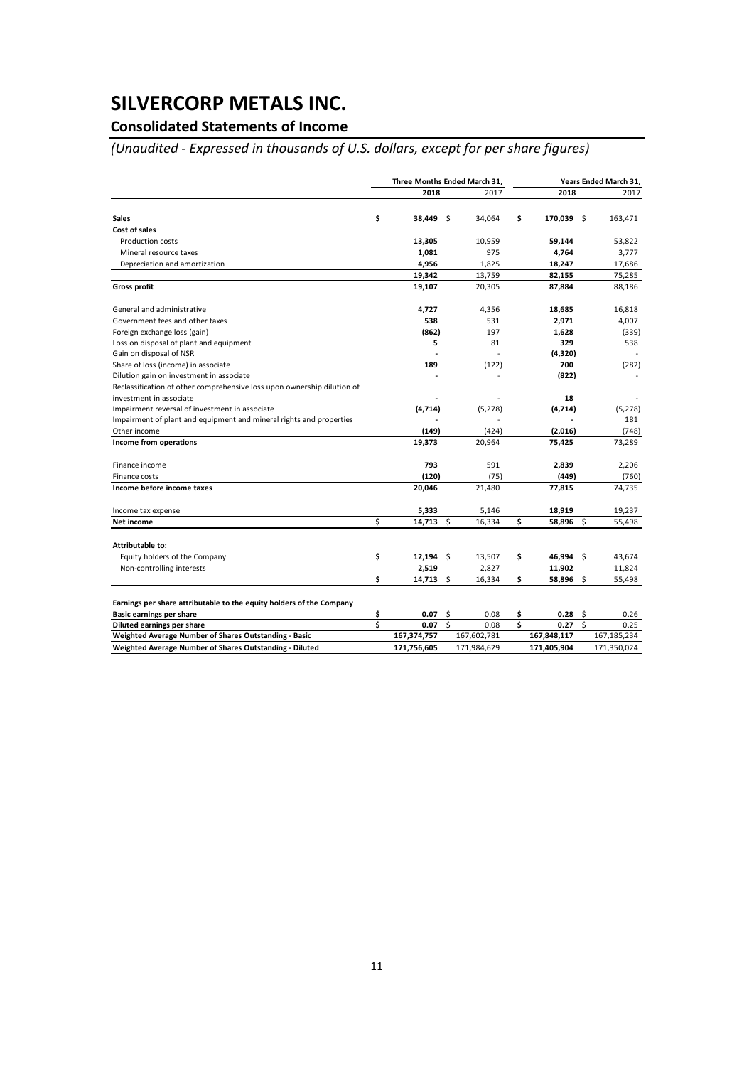### **Consolidated Statements of Income**

*(Unaudited ‐ Expressed in thousands of U.S. dollars, except for per share figures)*

|                                                                         |    | Three Months Ended March 31, |    |             | Years Ended March 31, |     |             |  |
|-------------------------------------------------------------------------|----|------------------------------|----|-------------|-----------------------|-----|-------------|--|
|                                                                         |    | 2018                         |    | 2017        | 2018                  |     | 2017        |  |
| <b>Sales</b>                                                            | \$ | 38,449 \$                    |    | 34,064      | \$<br>170,039 \$      |     | 163,471     |  |
| Cost of sales                                                           |    |                              |    |             |                       |     |             |  |
| <b>Production costs</b>                                                 |    | 13,305                       |    | 10,959      | 59,144                |     | 53,822      |  |
| Mineral resource taxes                                                  |    | 1,081                        |    | 975         | 4,764                 |     | 3,777       |  |
| Depreciation and amortization                                           |    | 4,956                        |    | 1,825       | 18,247                |     | 17,686      |  |
|                                                                         |    | 19,342                       |    | 13,759      | 82,155                |     | 75,285      |  |
| Gross profit                                                            |    | 19,107                       |    | 20,305      | 87,884                |     | 88,186      |  |
| General and administrative                                              |    | 4,727                        |    | 4,356       | 18,685                |     | 16,818      |  |
| Government fees and other taxes                                         |    | 538                          |    | 531         | 2,971                 |     | 4,007       |  |
| Foreign exchange loss (gain)                                            |    | (862)                        |    | 197         | 1.628                 |     | (339)       |  |
| Loss on disposal of plant and equipment                                 |    | 5                            |    | 81          | 329                   |     | 538         |  |
| Gain on disposal of NSR                                                 |    |                              |    |             | (4,320)               |     |             |  |
| Share of loss (income) in associate                                     |    | 189                          |    | (122)       | 700                   |     | (282)       |  |
| Dilution gain on investment in associate                                |    |                              |    |             | (822)                 |     |             |  |
| Reclassification of other comprehensive loss upon ownership dilution of |    |                              |    |             |                       |     |             |  |
| investment in associate                                                 |    |                              |    |             | 18                    |     |             |  |
| Impairment reversal of investment in associate                          |    | (4,714)                      |    | (5, 278)    | (4,714)               |     | (5, 278)    |  |
| Impairment of plant and equipment and mineral rights and properties     |    |                              |    |             |                       |     | 181         |  |
| Other income                                                            |    | (149)                        |    | (424)       | (2,016)               |     | (748)       |  |
| Income from operations                                                  |    | 19,373                       |    | 20,964      | 75,425                |     | 73,289      |  |
| Finance income                                                          |    | 793                          |    | 591         | 2,839                 |     | 2,206       |  |
| Finance costs                                                           |    | (120)                        |    | (75)        | (449)                 |     | (760)       |  |
| Income before income taxes                                              |    | 20,046                       |    | 21,480      | 77,815                |     | 74,735      |  |
| Income tax expense                                                      |    | 5,333                        |    | 5,146       | 18,919                |     | 19,237      |  |
| Net income                                                              | \$ | $14,713$ \$                  |    | 16,334      | \$<br>58,896          | Ŝ.  | 55,498      |  |
| Attributable to:                                                        |    |                              |    |             |                       |     |             |  |
| Equity holders of the Company                                           | \$ | $12,194$ \$                  |    | 13,507      | \$<br>46,994 \$       |     | 43,674      |  |
| Non-controlling interests                                               |    | 2,519                        |    | 2,827       | 11,902                |     | 11,824      |  |
|                                                                         | \$ | $14,713$ \$                  |    | 16,334      | \$<br>58,896 \$       |     | 55,498      |  |
| Earnings per share attributable to the equity holders of the Company    |    |                              |    |             |                       |     |             |  |
| Basic earnings per share                                                | \$ | $0.07$ \$                    |    | 0.08        | \$<br>0.28            | -\$ | 0.26        |  |
| Diluted earnings per share                                              | Ś  | 0.07                         | Ŝ. | 0.08        | \$<br>0.27            | Ŝ   | 0.25        |  |
| Weighted Average Number of Shares Outstanding - Basic                   |    | 167,374,757                  |    | 167,602,781 | 167,848,117           |     | 167,185,234 |  |
| Weighted Average Number of Shares Outstanding - Diluted                 |    | 171,756,605                  |    | 171,984,629 | 171,405,904           |     | 171,350,024 |  |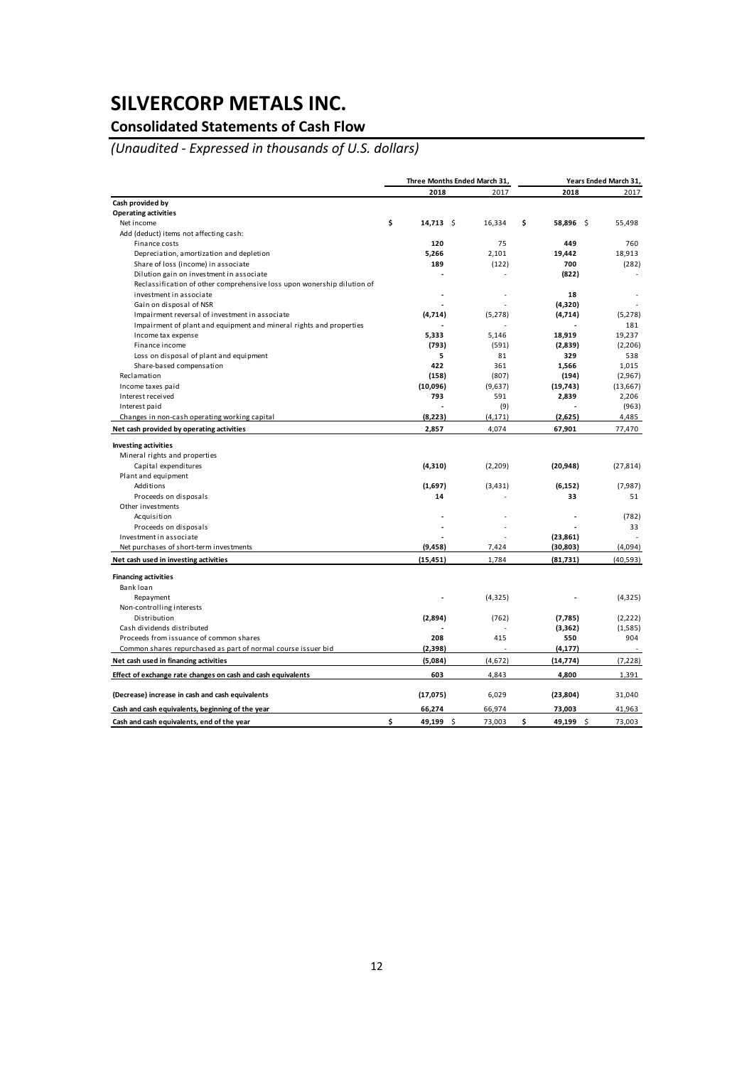### **Consolidated Statements of Cash Flow**

*(Unaudited ‐ Expressed in thousands of U.S. dollars)*

| 2017<br>2018<br>2018<br>2017<br>Cash provided by<br><b>Operating activities</b><br>\$<br>\$<br>$14,713$ \$<br>- \$<br>Net income<br>16,334<br>58.896<br>55,498<br>Add (deduct) items not affecting cash:<br>Finance costs<br>120<br>75<br>449<br>760<br>2,101<br>18,913<br>Depreciation, amortization and depletion<br>5,266<br>19,442<br>700<br>Share of loss (income) in associate<br>189<br>(122)<br>(282)<br>Dilution gain on investment in associate<br>(822)<br>Reclassification of other comprehensive loss upon wonership dilution of<br>investment in associate<br>18<br>Gain on disposal of NSR<br>(4,320)<br>(4, 714)<br>(4, 714)<br>Impairment reversal of investment in associate<br>(5, 278)<br>(5,278)<br>Impairment of plant and equipment and mineral rights and properties<br>181<br>5,333<br>5,146<br>18,919<br>19,237<br>Income tax expense<br>(793)<br>Finance income<br>(591)<br>(2,839)<br>(2,206)<br>5<br>329<br>Loss on disposal of plant and equipment<br>81<br>538<br>422<br>Share-based compensation<br>361<br>1.566<br>1,015<br>Reclamation<br>(158)<br>(807)<br>(194)<br>(2,967)<br>Income taxes paid<br>(10,096)<br>(9,637)<br>(19, 743)<br>(13,667)<br>793<br>591<br>2,206<br>Interest received<br>2,839<br>Interest paid<br>(9)<br>(963)<br>(8, 223)<br>(4, 171)<br>(2,625)<br>4,485<br>Changes in non-cash operating working capital<br>4,074<br>77,470<br>Net cash provided by operating activities<br>2,857<br>67,901<br><b>Investing activities</b><br>Mineral rights and properties<br>Capital expenditures<br>(4, 310)<br>(2,209)<br>(20, 948)<br>(27, 814)<br>Plant and equipment<br>Additions<br>(1,697)<br>(3, 431)<br>(6, 152)<br>(7,987)<br>14<br>33<br>Proceeds on disposals<br>51<br>Other investments<br>Acquisition<br>(782)<br>Proceeds on disposals<br>33<br>Investment in associate<br>(23, 861)<br>(4,094)<br>Net purchases of short-term investments<br>(9, 458)<br>7,424<br>(30, 803)<br>Net cash used in investing activities<br>(15, 451)<br>1,784<br>(81,731)<br>(40, 593)<br><b>Financing activities</b><br>Bank loan<br>(4, 325)<br>(4, 325)<br>Repayment<br>Non-controlling interests<br>Distribution<br>(2,894)<br>(7,785)<br>(762)<br>(2,222)<br>Cash dividends distributed<br>(3, 362)<br>(1,585)<br>Proceeds from issuance of common shares<br>208<br>415<br>904<br>550<br>Common shares repurchased as part of normal course issuer bid<br>(2,398)<br>(4, 177)<br>(5,084)<br>Net cash used in financing activities<br>(4,672)<br>(14, 774)<br>(7, 228)<br>603<br>4,800<br>Effect of exchange rate changes on cash and cash equivalents<br>4,843<br>1,391<br>(Decrease) increase in cash and cash equivalents<br>(17, 075)<br>6,029<br>(23, 804)<br>31,040<br>Cash and cash equivalents, beginning of the year<br>66,274<br>66,974<br>73,003<br>41,963<br>\$<br>49,199 \$<br>Cash and cash equivalents, end of the year<br>73,003<br>\$<br>49,199 \$<br>73,003 |  | Three Months Ended March 31, |  | Years Ended March 31, |  |  |
|--------------------------------------------------------------------------------------------------------------------------------------------------------------------------------------------------------------------------------------------------------------------------------------------------------------------------------------------------------------------------------------------------------------------------------------------------------------------------------------------------------------------------------------------------------------------------------------------------------------------------------------------------------------------------------------------------------------------------------------------------------------------------------------------------------------------------------------------------------------------------------------------------------------------------------------------------------------------------------------------------------------------------------------------------------------------------------------------------------------------------------------------------------------------------------------------------------------------------------------------------------------------------------------------------------------------------------------------------------------------------------------------------------------------------------------------------------------------------------------------------------------------------------------------------------------------------------------------------------------------------------------------------------------------------------------------------------------------------------------------------------------------------------------------------------------------------------------------------------------------------------------------------------------------------------------------------------------------------------------------------------------------------------------------------------------------------------------------------------------------------------------------------------------------------------------------------------------------------------------------------------------------------------------------------------------------------------------------------------------------------------------------------------------------------------------------------------------------------------------------------------------------------------------------------------------------------------------------------------------------------------------------------------------------------------------------------------------------------------------------------------------------------------------------------------------------------------------------------------------------------------------------------------------------------------|--|------------------------------|--|-----------------------|--|--|
|                                                                                                                                                                                                                                                                                                                                                                                                                                                                                                                                                                                                                                                                                                                                                                                                                                                                                                                                                                                                                                                                                                                                                                                                                                                                                                                                                                                                                                                                                                                                                                                                                                                                                                                                                                                                                                                                                                                                                                                                                                                                                                                                                                                                                                                                                                                                                                                                                                                                                                                                                                                                                                                                                                                                                                                                                                                                                                                                |  |                              |  |                       |  |  |
|                                                                                                                                                                                                                                                                                                                                                                                                                                                                                                                                                                                                                                                                                                                                                                                                                                                                                                                                                                                                                                                                                                                                                                                                                                                                                                                                                                                                                                                                                                                                                                                                                                                                                                                                                                                                                                                                                                                                                                                                                                                                                                                                                                                                                                                                                                                                                                                                                                                                                                                                                                                                                                                                                                                                                                                                                                                                                                                                |  |                              |  |                       |  |  |
|                                                                                                                                                                                                                                                                                                                                                                                                                                                                                                                                                                                                                                                                                                                                                                                                                                                                                                                                                                                                                                                                                                                                                                                                                                                                                                                                                                                                                                                                                                                                                                                                                                                                                                                                                                                                                                                                                                                                                                                                                                                                                                                                                                                                                                                                                                                                                                                                                                                                                                                                                                                                                                                                                                                                                                                                                                                                                                                                |  |                              |  |                       |  |  |
|                                                                                                                                                                                                                                                                                                                                                                                                                                                                                                                                                                                                                                                                                                                                                                                                                                                                                                                                                                                                                                                                                                                                                                                                                                                                                                                                                                                                                                                                                                                                                                                                                                                                                                                                                                                                                                                                                                                                                                                                                                                                                                                                                                                                                                                                                                                                                                                                                                                                                                                                                                                                                                                                                                                                                                                                                                                                                                                                |  |                              |  |                       |  |  |
|                                                                                                                                                                                                                                                                                                                                                                                                                                                                                                                                                                                                                                                                                                                                                                                                                                                                                                                                                                                                                                                                                                                                                                                                                                                                                                                                                                                                                                                                                                                                                                                                                                                                                                                                                                                                                                                                                                                                                                                                                                                                                                                                                                                                                                                                                                                                                                                                                                                                                                                                                                                                                                                                                                                                                                                                                                                                                                                                |  |                              |  |                       |  |  |
|                                                                                                                                                                                                                                                                                                                                                                                                                                                                                                                                                                                                                                                                                                                                                                                                                                                                                                                                                                                                                                                                                                                                                                                                                                                                                                                                                                                                                                                                                                                                                                                                                                                                                                                                                                                                                                                                                                                                                                                                                                                                                                                                                                                                                                                                                                                                                                                                                                                                                                                                                                                                                                                                                                                                                                                                                                                                                                                                |  |                              |  |                       |  |  |
|                                                                                                                                                                                                                                                                                                                                                                                                                                                                                                                                                                                                                                                                                                                                                                                                                                                                                                                                                                                                                                                                                                                                                                                                                                                                                                                                                                                                                                                                                                                                                                                                                                                                                                                                                                                                                                                                                                                                                                                                                                                                                                                                                                                                                                                                                                                                                                                                                                                                                                                                                                                                                                                                                                                                                                                                                                                                                                                                |  |                              |  |                       |  |  |
|                                                                                                                                                                                                                                                                                                                                                                                                                                                                                                                                                                                                                                                                                                                                                                                                                                                                                                                                                                                                                                                                                                                                                                                                                                                                                                                                                                                                                                                                                                                                                                                                                                                                                                                                                                                                                                                                                                                                                                                                                                                                                                                                                                                                                                                                                                                                                                                                                                                                                                                                                                                                                                                                                                                                                                                                                                                                                                                                |  |                              |  |                       |  |  |
|                                                                                                                                                                                                                                                                                                                                                                                                                                                                                                                                                                                                                                                                                                                                                                                                                                                                                                                                                                                                                                                                                                                                                                                                                                                                                                                                                                                                                                                                                                                                                                                                                                                                                                                                                                                                                                                                                                                                                                                                                                                                                                                                                                                                                                                                                                                                                                                                                                                                                                                                                                                                                                                                                                                                                                                                                                                                                                                                |  |                              |  |                       |  |  |
|                                                                                                                                                                                                                                                                                                                                                                                                                                                                                                                                                                                                                                                                                                                                                                                                                                                                                                                                                                                                                                                                                                                                                                                                                                                                                                                                                                                                                                                                                                                                                                                                                                                                                                                                                                                                                                                                                                                                                                                                                                                                                                                                                                                                                                                                                                                                                                                                                                                                                                                                                                                                                                                                                                                                                                                                                                                                                                                                |  |                              |  |                       |  |  |
|                                                                                                                                                                                                                                                                                                                                                                                                                                                                                                                                                                                                                                                                                                                                                                                                                                                                                                                                                                                                                                                                                                                                                                                                                                                                                                                                                                                                                                                                                                                                                                                                                                                                                                                                                                                                                                                                                                                                                                                                                                                                                                                                                                                                                                                                                                                                                                                                                                                                                                                                                                                                                                                                                                                                                                                                                                                                                                                                |  |                              |  |                       |  |  |
|                                                                                                                                                                                                                                                                                                                                                                                                                                                                                                                                                                                                                                                                                                                                                                                                                                                                                                                                                                                                                                                                                                                                                                                                                                                                                                                                                                                                                                                                                                                                                                                                                                                                                                                                                                                                                                                                                                                                                                                                                                                                                                                                                                                                                                                                                                                                                                                                                                                                                                                                                                                                                                                                                                                                                                                                                                                                                                                                |  |                              |  |                       |  |  |
|                                                                                                                                                                                                                                                                                                                                                                                                                                                                                                                                                                                                                                                                                                                                                                                                                                                                                                                                                                                                                                                                                                                                                                                                                                                                                                                                                                                                                                                                                                                                                                                                                                                                                                                                                                                                                                                                                                                                                                                                                                                                                                                                                                                                                                                                                                                                                                                                                                                                                                                                                                                                                                                                                                                                                                                                                                                                                                                                |  |                              |  |                       |  |  |
|                                                                                                                                                                                                                                                                                                                                                                                                                                                                                                                                                                                                                                                                                                                                                                                                                                                                                                                                                                                                                                                                                                                                                                                                                                                                                                                                                                                                                                                                                                                                                                                                                                                                                                                                                                                                                                                                                                                                                                                                                                                                                                                                                                                                                                                                                                                                                                                                                                                                                                                                                                                                                                                                                                                                                                                                                                                                                                                                |  |                              |  |                       |  |  |
|                                                                                                                                                                                                                                                                                                                                                                                                                                                                                                                                                                                                                                                                                                                                                                                                                                                                                                                                                                                                                                                                                                                                                                                                                                                                                                                                                                                                                                                                                                                                                                                                                                                                                                                                                                                                                                                                                                                                                                                                                                                                                                                                                                                                                                                                                                                                                                                                                                                                                                                                                                                                                                                                                                                                                                                                                                                                                                                                |  |                              |  |                       |  |  |
|                                                                                                                                                                                                                                                                                                                                                                                                                                                                                                                                                                                                                                                                                                                                                                                                                                                                                                                                                                                                                                                                                                                                                                                                                                                                                                                                                                                                                                                                                                                                                                                                                                                                                                                                                                                                                                                                                                                                                                                                                                                                                                                                                                                                                                                                                                                                                                                                                                                                                                                                                                                                                                                                                                                                                                                                                                                                                                                                |  |                              |  |                       |  |  |
|                                                                                                                                                                                                                                                                                                                                                                                                                                                                                                                                                                                                                                                                                                                                                                                                                                                                                                                                                                                                                                                                                                                                                                                                                                                                                                                                                                                                                                                                                                                                                                                                                                                                                                                                                                                                                                                                                                                                                                                                                                                                                                                                                                                                                                                                                                                                                                                                                                                                                                                                                                                                                                                                                                                                                                                                                                                                                                                                |  |                              |  |                       |  |  |
|                                                                                                                                                                                                                                                                                                                                                                                                                                                                                                                                                                                                                                                                                                                                                                                                                                                                                                                                                                                                                                                                                                                                                                                                                                                                                                                                                                                                                                                                                                                                                                                                                                                                                                                                                                                                                                                                                                                                                                                                                                                                                                                                                                                                                                                                                                                                                                                                                                                                                                                                                                                                                                                                                                                                                                                                                                                                                                                                |  |                              |  |                       |  |  |
|                                                                                                                                                                                                                                                                                                                                                                                                                                                                                                                                                                                                                                                                                                                                                                                                                                                                                                                                                                                                                                                                                                                                                                                                                                                                                                                                                                                                                                                                                                                                                                                                                                                                                                                                                                                                                                                                                                                                                                                                                                                                                                                                                                                                                                                                                                                                                                                                                                                                                                                                                                                                                                                                                                                                                                                                                                                                                                                                |  |                              |  |                       |  |  |
|                                                                                                                                                                                                                                                                                                                                                                                                                                                                                                                                                                                                                                                                                                                                                                                                                                                                                                                                                                                                                                                                                                                                                                                                                                                                                                                                                                                                                                                                                                                                                                                                                                                                                                                                                                                                                                                                                                                                                                                                                                                                                                                                                                                                                                                                                                                                                                                                                                                                                                                                                                                                                                                                                                                                                                                                                                                                                                                                |  |                              |  |                       |  |  |
|                                                                                                                                                                                                                                                                                                                                                                                                                                                                                                                                                                                                                                                                                                                                                                                                                                                                                                                                                                                                                                                                                                                                                                                                                                                                                                                                                                                                                                                                                                                                                                                                                                                                                                                                                                                                                                                                                                                                                                                                                                                                                                                                                                                                                                                                                                                                                                                                                                                                                                                                                                                                                                                                                                                                                                                                                                                                                                                                |  |                              |  |                       |  |  |
|                                                                                                                                                                                                                                                                                                                                                                                                                                                                                                                                                                                                                                                                                                                                                                                                                                                                                                                                                                                                                                                                                                                                                                                                                                                                                                                                                                                                                                                                                                                                                                                                                                                                                                                                                                                                                                                                                                                                                                                                                                                                                                                                                                                                                                                                                                                                                                                                                                                                                                                                                                                                                                                                                                                                                                                                                                                                                                                                |  |                              |  |                       |  |  |
|                                                                                                                                                                                                                                                                                                                                                                                                                                                                                                                                                                                                                                                                                                                                                                                                                                                                                                                                                                                                                                                                                                                                                                                                                                                                                                                                                                                                                                                                                                                                                                                                                                                                                                                                                                                                                                                                                                                                                                                                                                                                                                                                                                                                                                                                                                                                                                                                                                                                                                                                                                                                                                                                                                                                                                                                                                                                                                                                |  |                              |  |                       |  |  |
|                                                                                                                                                                                                                                                                                                                                                                                                                                                                                                                                                                                                                                                                                                                                                                                                                                                                                                                                                                                                                                                                                                                                                                                                                                                                                                                                                                                                                                                                                                                                                                                                                                                                                                                                                                                                                                                                                                                                                                                                                                                                                                                                                                                                                                                                                                                                                                                                                                                                                                                                                                                                                                                                                                                                                                                                                                                                                                                                |  |                              |  |                       |  |  |
|                                                                                                                                                                                                                                                                                                                                                                                                                                                                                                                                                                                                                                                                                                                                                                                                                                                                                                                                                                                                                                                                                                                                                                                                                                                                                                                                                                                                                                                                                                                                                                                                                                                                                                                                                                                                                                                                                                                                                                                                                                                                                                                                                                                                                                                                                                                                                                                                                                                                                                                                                                                                                                                                                                                                                                                                                                                                                                                                |  |                              |  |                       |  |  |
|                                                                                                                                                                                                                                                                                                                                                                                                                                                                                                                                                                                                                                                                                                                                                                                                                                                                                                                                                                                                                                                                                                                                                                                                                                                                                                                                                                                                                                                                                                                                                                                                                                                                                                                                                                                                                                                                                                                                                                                                                                                                                                                                                                                                                                                                                                                                                                                                                                                                                                                                                                                                                                                                                                                                                                                                                                                                                                                                |  |                              |  |                       |  |  |
|                                                                                                                                                                                                                                                                                                                                                                                                                                                                                                                                                                                                                                                                                                                                                                                                                                                                                                                                                                                                                                                                                                                                                                                                                                                                                                                                                                                                                                                                                                                                                                                                                                                                                                                                                                                                                                                                                                                                                                                                                                                                                                                                                                                                                                                                                                                                                                                                                                                                                                                                                                                                                                                                                                                                                                                                                                                                                                                                |  |                              |  |                       |  |  |
|                                                                                                                                                                                                                                                                                                                                                                                                                                                                                                                                                                                                                                                                                                                                                                                                                                                                                                                                                                                                                                                                                                                                                                                                                                                                                                                                                                                                                                                                                                                                                                                                                                                                                                                                                                                                                                                                                                                                                                                                                                                                                                                                                                                                                                                                                                                                                                                                                                                                                                                                                                                                                                                                                                                                                                                                                                                                                                                                |  |                              |  |                       |  |  |
|                                                                                                                                                                                                                                                                                                                                                                                                                                                                                                                                                                                                                                                                                                                                                                                                                                                                                                                                                                                                                                                                                                                                                                                                                                                                                                                                                                                                                                                                                                                                                                                                                                                                                                                                                                                                                                                                                                                                                                                                                                                                                                                                                                                                                                                                                                                                                                                                                                                                                                                                                                                                                                                                                                                                                                                                                                                                                                                                |  |                              |  |                       |  |  |
|                                                                                                                                                                                                                                                                                                                                                                                                                                                                                                                                                                                                                                                                                                                                                                                                                                                                                                                                                                                                                                                                                                                                                                                                                                                                                                                                                                                                                                                                                                                                                                                                                                                                                                                                                                                                                                                                                                                                                                                                                                                                                                                                                                                                                                                                                                                                                                                                                                                                                                                                                                                                                                                                                                                                                                                                                                                                                                                                |  |                              |  |                       |  |  |
|                                                                                                                                                                                                                                                                                                                                                                                                                                                                                                                                                                                                                                                                                                                                                                                                                                                                                                                                                                                                                                                                                                                                                                                                                                                                                                                                                                                                                                                                                                                                                                                                                                                                                                                                                                                                                                                                                                                                                                                                                                                                                                                                                                                                                                                                                                                                                                                                                                                                                                                                                                                                                                                                                                                                                                                                                                                                                                                                |  |                              |  |                       |  |  |
|                                                                                                                                                                                                                                                                                                                                                                                                                                                                                                                                                                                                                                                                                                                                                                                                                                                                                                                                                                                                                                                                                                                                                                                                                                                                                                                                                                                                                                                                                                                                                                                                                                                                                                                                                                                                                                                                                                                                                                                                                                                                                                                                                                                                                                                                                                                                                                                                                                                                                                                                                                                                                                                                                                                                                                                                                                                                                                                                |  |                              |  |                       |  |  |
|                                                                                                                                                                                                                                                                                                                                                                                                                                                                                                                                                                                                                                                                                                                                                                                                                                                                                                                                                                                                                                                                                                                                                                                                                                                                                                                                                                                                                                                                                                                                                                                                                                                                                                                                                                                                                                                                                                                                                                                                                                                                                                                                                                                                                                                                                                                                                                                                                                                                                                                                                                                                                                                                                                                                                                                                                                                                                                                                |  |                              |  |                       |  |  |
|                                                                                                                                                                                                                                                                                                                                                                                                                                                                                                                                                                                                                                                                                                                                                                                                                                                                                                                                                                                                                                                                                                                                                                                                                                                                                                                                                                                                                                                                                                                                                                                                                                                                                                                                                                                                                                                                                                                                                                                                                                                                                                                                                                                                                                                                                                                                                                                                                                                                                                                                                                                                                                                                                                                                                                                                                                                                                                                                |  |                              |  |                       |  |  |
|                                                                                                                                                                                                                                                                                                                                                                                                                                                                                                                                                                                                                                                                                                                                                                                                                                                                                                                                                                                                                                                                                                                                                                                                                                                                                                                                                                                                                                                                                                                                                                                                                                                                                                                                                                                                                                                                                                                                                                                                                                                                                                                                                                                                                                                                                                                                                                                                                                                                                                                                                                                                                                                                                                                                                                                                                                                                                                                                |  |                              |  |                       |  |  |
|                                                                                                                                                                                                                                                                                                                                                                                                                                                                                                                                                                                                                                                                                                                                                                                                                                                                                                                                                                                                                                                                                                                                                                                                                                                                                                                                                                                                                                                                                                                                                                                                                                                                                                                                                                                                                                                                                                                                                                                                                                                                                                                                                                                                                                                                                                                                                                                                                                                                                                                                                                                                                                                                                                                                                                                                                                                                                                                                |  |                              |  |                       |  |  |
|                                                                                                                                                                                                                                                                                                                                                                                                                                                                                                                                                                                                                                                                                                                                                                                                                                                                                                                                                                                                                                                                                                                                                                                                                                                                                                                                                                                                                                                                                                                                                                                                                                                                                                                                                                                                                                                                                                                                                                                                                                                                                                                                                                                                                                                                                                                                                                                                                                                                                                                                                                                                                                                                                                                                                                                                                                                                                                                                |  |                              |  |                       |  |  |
|                                                                                                                                                                                                                                                                                                                                                                                                                                                                                                                                                                                                                                                                                                                                                                                                                                                                                                                                                                                                                                                                                                                                                                                                                                                                                                                                                                                                                                                                                                                                                                                                                                                                                                                                                                                                                                                                                                                                                                                                                                                                                                                                                                                                                                                                                                                                                                                                                                                                                                                                                                                                                                                                                                                                                                                                                                                                                                                                |  |                              |  |                       |  |  |
|                                                                                                                                                                                                                                                                                                                                                                                                                                                                                                                                                                                                                                                                                                                                                                                                                                                                                                                                                                                                                                                                                                                                                                                                                                                                                                                                                                                                                                                                                                                                                                                                                                                                                                                                                                                                                                                                                                                                                                                                                                                                                                                                                                                                                                                                                                                                                                                                                                                                                                                                                                                                                                                                                                                                                                                                                                                                                                                                |  |                              |  |                       |  |  |
|                                                                                                                                                                                                                                                                                                                                                                                                                                                                                                                                                                                                                                                                                                                                                                                                                                                                                                                                                                                                                                                                                                                                                                                                                                                                                                                                                                                                                                                                                                                                                                                                                                                                                                                                                                                                                                                                                                                                                                                                                                                                                                                                                                                                                                                                                                                                                                                                                                                                                                                                                                                                                                                                                                                                                                                                                                                                                                                                |  |                              |  |                       |  |  |
|                                                                                                                                                                                                                                                                                                                                                                                                                                                                                                                                                                                                                                                                                                                                                                                                                                                                                                                                                                                                                                                                                                                                                                                                                                                                                                                                                                                                                                                                                                                                                                                                                                                                                                                                                                                                                                                                                                                                                                                                                                                                                                                                                                                                                                                                                                                                                                                                                                                                                                                                                                                                                                                                                                                                                                                                                                                                                                                                |  |                              |  |                       |  |  |
|                                                                                                                                                                                                                                                                                                                                                                                                                                                                                                                                                                                                                                                                                                                                                                                                                                                                                                                                                                                                                                                                                                                                                                                                                                                                                                                                                                                                                                                                                                                                                                                                                                                                                                                                                                                                                                                                                                                                                                                                                                                                                                                                                                                                                                                                                                                                                                                                                                                                                                                                                                                                                                                                                                                                                                                                                                                                                                                                |  |                              |  |                       |  |  |
|                                                                                                                                                                                                                                                                                                                                                                                                                                                                                                                                                                                                                                                                                                                                                                                                                                                                                                                                                                                                                                                                                                                                                                                                                                                                                                                                                                                                                                                                                                                                                                                                                                                                                                                                                                                                                                                                                                                                                                                                                                                                                                                                                                                                                                                                                                                                                                                                                                                                                                                                                                                                                                                                                                                                                                                                                                                                                                                                |  |                              |  |                       |  |  |
|                                                                                                                                                                                                                                                                                                                                                                                                                                                                                                                                                                                                                                                                                                                                                                                                                                                                                                                                                                                                                                                                                                                                                                                                                                                                                                                                                                                                                                                                                                                                                                                                                                                                                                                                                                                                                                                                                                                                                                                                                                                                                                                                                                                                                                                                                                                                                                                                                                                                                                                                                                                                                                                                                                                                                                                                                                                                                                                                |  |                              |  |                       |  |  |
|                                                                                                                                                                                                                                                                                                                                                                                                                                                                                                                                                                                                                                                                                                                                                                                                                                                                                                                                                                                                                                                                                                                                                                                                                                                                                                                                                                                                                                                                                                                                                                                                                                                                                                                                                                                                                                                                                                                                                                                                                                                                                                                                                                                                                                                                                                                                                                                                                                                                                                                                                                                                                                                                                                                                                                                                                                                                                                                                |  |                              |  |                       |  |  |
|                                                                                                                                                                                                                                                                                                                                                                                                                                                                                                                                                                                                                                                                                                                                                                                                                                                                                                                                                                                                                                                                                                                                                                                                                                                                                                                                                                                                                                                                                                                                                                                                                                                                                                                                                                                                                                                                                                                                                                                                                                                                                                                                                                                                                                                                                                                                                                                                                                                                                                                                                                                                                                                                                                                                                                                                                                                                                                                                |  |                              |  |                       |  |  |
|                                                                                                                                                                                                                                                                                                                                                                                                                                                                                                                                                                                                                                                                                                                                                                                                                                                                                                                                                                                                                                                                                                                                                                                                                                                                                                                                                                                                                                                                                                                                                                                                                                                                                                                                                                                                                                                                                                                                                                                                                                                                                                                                                                                                                                                                                                                                                                                                                                                                                                                                                                                                                                                                                                                                                                                                                                                                                                                                |  |                              |  |                       |  |  |
|                                                                                                                                                                                                                                                                                                                                                                                                                                                                                                                                                                                                                                                                                                                                                                                                                                                                                                                                                                                                                                                                                                                                                                                                                                                                                                                                                                                                                                                                                                                                                                                                                                                                                                                                                                                                                                                                                                                                                                                                                                                                                                                                                                                                                                                                                                                                                                                                                                                                                                                                                                                                                                                                                                                                                                                                                                                                                                                                |  |                              |  |                       |  |  |
|                                                                                                                                                                                                                                                                                                                                                                                                                                                                                                                                                                                                                                                                                                                                                                                                                                                                                                                                                                                                                                                                                                                                                                                                                                                                                                                                                                                                                                                                                                                                                                                                                                                                                                                                                                                                                                                                                                                                                                                                                                                                                                                                                                                                                                                                                                                                                                                                                                                                                                                                                                                                                                                                                                                                                                                                                                                                                                                                |  |                              |  |                       |  |  |
|                                                                                                                                                                                                                                                                                                                                                                                                                                                                                                                                                                                                                                                                                                                                                                                                                                                                                                                                                                                                                                                                                                                                                                                                                                                                                                                                                                                                                                                                                                                                                                                                                                                                                                                                                                                                                                                                                                                                                                                                                                                                                                                                                                                                                                                                                                                                                                                                                                                                                                                                                                                                                                                                                                                                                                                                                                                                                                                                |  |                              |  |                       |  |  |
|                                                                                                                                                                                                                                                                                                                                                                                                                                                                                                                                                                                                                                                                                                                                                                                                                                                                                                                                                                                                                                                                                                                                                                                                                                                                                                                                                                                                                                                                                                                                                                                                                                                                                                                                                                                                                                                                                                                                                                                                                                                                                                                                                                                                                                                                                                                                                                                                                                                                                                                                                                                                                                                                                                                                                                                                                                                                                                                                |  |                              |  |                       |  |  |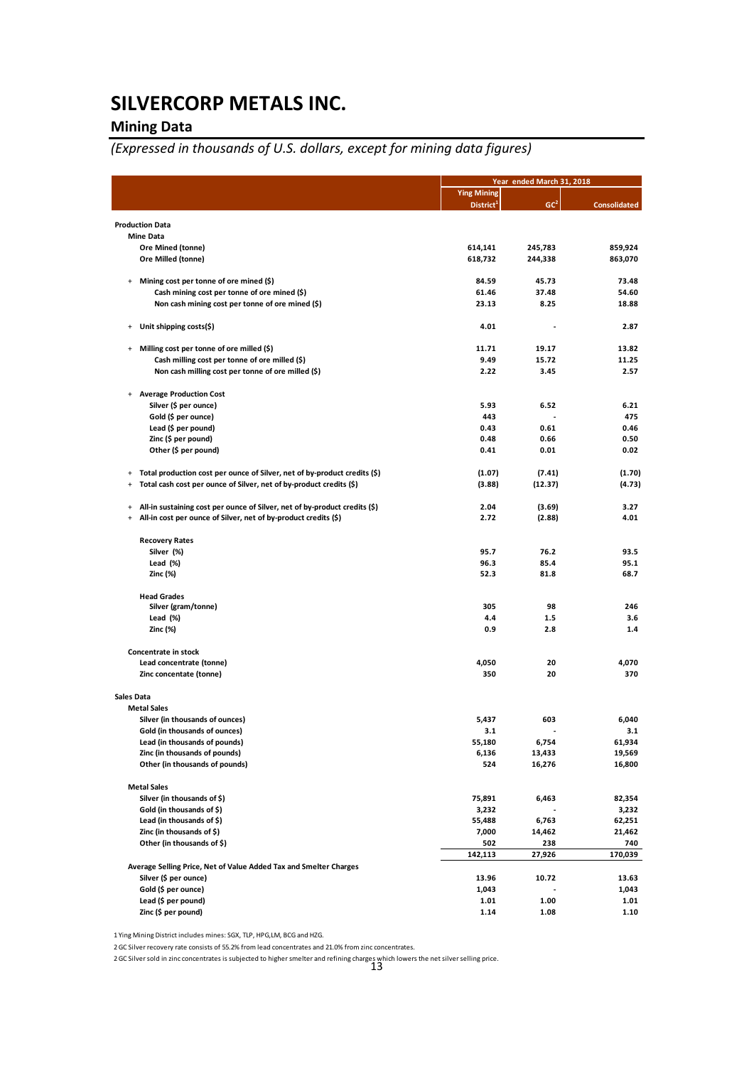## **Mining Data**

## *(Expressed in thousands of U.S. dollars, except for mining data figures)*

|                   |                                                                                                                                                  |                       | Year ended March 31, 2018 |                     |
|-------------------|--------------------------------------------------------------------------------------------------------------------------------------------------|-----------------------|---------------------------|---------------------|
|                   |                                                                                                                                                  | <b>Ying Mining</b>    |                           |                     |
|                   |                                                                                                                                                  | District <sup>1</sup> | GC <sup>2</sup>           | <b>Consolidated</b> |
|                   | <b>Production Data</b>                                                                                                                           |                       |                           |                     |
|                   | <b>Mine Data</b>                                                                                                                                 |                       |                           |                     |
|                   | Ore Mined (tonne)                                                                                                                                | 614,141               | 245,783                   | 859,924             |
|                   | Ore Milled (tonne)                                                                                                                               | 618,732               | 244,338                   | 863,070             |
|                   |                                                                                                                                                  |                       |                           |                     |
| $\ddot{}$         | Mining cost per tonne of ore mined (\$)                                                                                                          | 84.59                 | 45.73                     | 73.48               |
|                   | Cash mining cost per tonne of ore mined (\$)                                                                                                     | 61.46                 | 37.48                     | 54.60               |
|                   | Non cash mining cost per tonne of ore mined (\$)                                                                                                 | 23.13                 | 8.25                      | 18.88               |
|                   |                                                                                                                                                  |                       |                           |                     |
| $\ddot{}$         | Unit shipping costs(\$)                                                                                                                          | 4.01                  |                           | 2.87                |
| ÷                 | Milling cost per tonne of ore milled (\$)                                                                                                        | 11.71                 | 19.17                     | 13.82               |
|                   | Cash milling cost per tonne of ore milled (\$)                                                                                                   | 9.49                  | 15.72                     | 11.25               |
|                   | Non cash milling cost per tonne of ore milled (\$)                                                                                               | 2.22                  | 3.45                      | 2.57                |
|                   |                                                                                                                                                  |                       |                           |                     |
| $\ddot{}$         | <b>Average Production Cost</b>                                                                                                                   |                       |                           |                     |
|                   | Silver (\$ per ounce)                                                                                                                            | 5.93                  | 6.52                      | 6.21                |
|                   | Gold (\$ per ounce)                                                                                                                              | 443                   |                           | 475                 |
|                   | Lead (\$ per pound)                                                                                                                              | 0.43                  | 0.61                      | 0.46                |
|                   | Zinc (\$ per pound)                                                                                                                              | 0.48                  | 0.66                      | 0.50                |
|                   | Other (\$ per pound)                                                                                                                             | 0.41                  | 0.01                      | 0.02                |
|                   |                                                                                                                                                  |                       |                           |                     |
| ÷                 | Total production cost per ounce of Silver, net of by-product credits (\$)<br>Total cash cost per ounce of Silver, net of by-product credits (\$) | (1.07)                | (7.41)                    | (1.70)<br>(4.73)    |
| $\ddot{}$         |                                                                                                                                                  | (3.88)                | (12.37)                   |                     |
| $\ddot{}$         | All-in sustaining cost per ounce of Silver, net of by-product credits (\$)                                                                       | 2.04                  | (3.69)                    | 3.27                |
| $\ddot{}$         | All-in cost per ounce of Silver, net of by-product credits (\$)                                                                                  | 2.72                  | (2.88)                    | 4.01                |
|                   |                                                                                                                                                  |                       |                           |                     |
|                   | <b>Recovery Rates</b>                                                                                                                            |                       |                           |                     |
|                   | Silver (%)                                                                                                                                       | 95.7                  | 76.2                      | 93.5                |
|                   | Lead (%)                                                                                                                                         | 96.3                  | 85.4                      | 95.1                |
|                   | Zinc (%)                                                                                                                                         | 52.3                  | 81.8                      | 68.7                |
|                   | <b>Head Grades</b>                                                                                                                               |                       |                           |                     |
|                   | Silver (gram/tonne)                                                                                                                              | 305                   | 98                        | 246                 |
|                   | Lead (%)                                                                                                                                         | 4.4                   | 1.5                       | 3.6                 |
|                   | Zinc (%)                                                                                                                                         | 0.9                   | 2.8                       | 1.4                 |
|                   |                                                                                                                                                  |                       |                           |                     |
|                   | Concentrate in stock                                                                                                                             |                       |                           |                     |
|                   | Lead concentrate (tonne)                                                                                                                         | 4,050                 | 20                        | 4,070               |
|                   | Zinc concentate (tonne)                                                                                                                          | 350                   | 20                        | 370                 |
|                   |                                                                                                                                                  |                       |                           |                     |
| <b>Sales Data</b> | <b>Metal Sales</b>                                                                                                                               |                       |                           |                     |
|                   | Silver (in thousands of ounces)                                                                                                                  | 5,437                 | 603                       | 6,040               |
|                   | Gold (in thousands of ounces)                                                                                                                    | 3.1                   |                           | 3.1                 |
|                   | Lead (in thousands of pounds)                                                                                                                    | 55,180                | 6,754                     | 61,934              |
|                   | Zinc (in thousands of pounds)                                                                                                                    | 6,136                 | 13,433                    | 19,569              |
|                   | Other (in thousands of pounds)                                                                                                                   | 524                   | 16,276                    | 16,800              |
|                   |                                                                                                                                                  |                       |                           |                     |
|                   | <b>Metal Sales</b>                                                                                                                               |                       |                           |                     |
|                   | Silver (in thousands of \$)                                                                                                                      | 75,891                | 6,463                     | 82,354              |
|                   | Gold (in thousands of \$)                                                                                                                        | 3,232                 |                           | 3,232               |
|                   | Lead (in thousands of \$)                                                                                                                        | 55,488                | 6,763                     | 62,251              |
|                   | Zinc (in thousands of \$)                                                                                                                        | 7,000                 | 14,462                    | 21,462              |
|                   | Other (in thousands of \$)                                                                                                                       | 502<br>142,113        | 238<br>27,926             | 740<br>170,039      |
|                   | Average Selling Price, Net of Value Added Tax and Smelter Charges                                                                                |                       |                           |                     |
|                   | Silver (\$ per ounce)                                                                                                                            | 13.96                 | 10.72                     | 13.63               |
|                   | Gold (\$ per ounce)                                                                                                                              | 1,043                 |                           | 1,043               |
|                   | Lead (\$ per pound)                                                                                                                              | 1.01                  | 1.00                      | 1.01                |
|                   | Zinc (\$ per pound)                                                                                                                              | 1.14                  | 1.08                      | 1.10                |

1 Ying Mining District includes mines: SGX, TLP, HPG,LM, BCG and HZG.

2GC Silver recovery rate consists of 55.2% from lead concentrates and 21.0% from zinc concentrates.

2 GC Silver sold in zinc concentrates is subjected to higher smelter and refining charges which lowers the net silver selling price.<br>13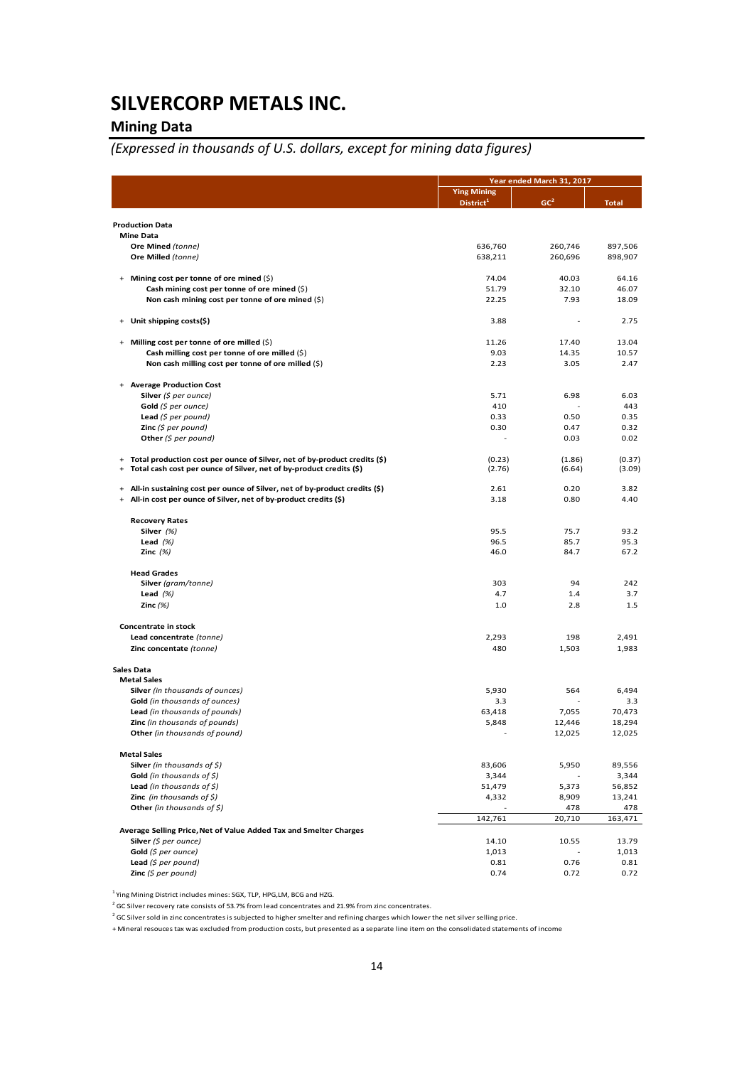### **Mining Data**

## *(Expressed in thousands of U.S. dollars, except for mining data figures)*

|                                                                                     |                                             | Year ended March 31, 2017 |                  |
|-------------------------------------------------------------------------------------|---------------------------------------------|---------------------------|------------------|
|                                                                                     | <b>Ying Mining</b><br>District <sup>1</sup> | GC <sup>2</sup>           | <b>Total</b>     |
| <b>Production Data</b>                                                              |                                             |                           |                  |
| <b>Mine Data</b>                                                                    |                                             |                           |                  |
| Ore Mined (tonne)                                                                   | 636,760                                     | 260,746                   | 897,506          |
| Ore Milled (tonne)                                                                  | 638,211                                     | 260,696                   | 898,907          |
| + Mining cost per tonne of ore mined (\$)                                           | 74.04                                       | 40.03                     | 64.16            |
| Cash mining cost per tonne of ore mined $(5)$                                       | 51.79                                       | 32.10                     | 46.07            |
| Non cash mining cost per tonne of ore mined (\$)                                    | 22.25                                       | 7.93                      | 18.09            |
| + Unit shipping costs(\$)                                                           | 3.88                                        |                           | 2.75             |
| + Milling cost per tonne of ore milled (\$)                                         | 11.26                                       | 17.40                     | 13.04            |
| Cash milling cost per tonne of ore milled (\$)                                      | 9.03                                        | 14.35                     | 10.57            |
| Non cash milling cost per tonne of ore milled (\$)                                  | 2.23                                        | 3.05                      | 2.47             |
| + Average Production Cost                                                           |                                             |                           |                  |
| Silver (\$ per ounce)                                                               | 5.71                                        | 6.98                      | 6.03             |
| Gold (\$ per ounce)                                                                 | 410                                         |                           | 443              |
| Lead $(5$ per pound)                                                                | 0.33                                        | 0.50                      | 0.35             |
| <b>Zinc</b> (\$ per pound)                                                          | 0.30                                        | 0.47                      | 0.32             |
| Other $(\xi$ per pound)                                                             |                                             | 0.03                      | 0.02             |
| Total production cost per ounce of Silver, net of by-product credits (\$)<br>$^{+}$ | (0.23)                                      | (1.86)                    | (0.37)           |
| Total cash cost per ounce of Silver, net of by-product credits (\$)<br>$+$          | (2.76)                                      | (6.64)                    | (3.09)           |
| All-in sustaining cost per ounce of Silver, net of by-product credits (\$)          | 2.61                                        | 0.20                      | 3.82             |
| + All-in cost per ounce of Silver, net of by-product credits (\$)                   | 3.18                                        | 0.80                      | 4.40             |
| <b>Recovery Rates</b>                                                               |                                             |                           |                  |
| Silver (%)                                                                          | 95.5                                        | 75.7                      | 93.2             |
| Lead $(%)$                                                                          | 96.5                                        | 85.7                      | 95.3             |
| Zinc $(%)$                                                                          | 46.0                                        | 84.7                      | 67.2             |
| <b>Head Grades</b>                                                                  |                                             |                           |                  |
| Silver (gram/tonne)                                                                 | 303                                         | 94                        | 242              |
| Lead $(%)$                                                                          | 4.7                                         | 1.4                       | 3.7              |
| Zinc $(%)$                                                                          | 1.0                                         | 2.8                       | 1.5              |
| Concentrate in stock                                                                |                                             |                           |                  |
| Lead concentrate (tonne)                                                            | 2,293                                       | 198                       | 2,491            |
| Zinc concentate (tonne)                                                             | 480                                         | 1,503                     | 1,983            |
| Sales Data                                                                          |                                             |                           |                  |
| <b>Metal Sales</b>                                                                  |                                             |                           |                  |
| Silver (in thousands of ounces)                                                     | 5,930                                       | 564                       | 6,494            |
| Gold (in thousands of ounces)                                                       | 3.3                                         |                           | 3.3              |
| Lead (in thousands of pounds)                                                       | 63,418<br>5,848                             | 7,055                     | 70,473<br>18,294 |
| Zinc (in thousands of pounds)<br>Other (in thousands of pound)                      |                                             | 12,446<br>12,025          | 12,025           |
|                                                                                     |                                             |                           |                  |
| <b>Metal Sales</b><br><b>Silver</b> (in thousands of $\zeta$ )                      | 83,606                                      | 5,950                     | 89,556           |
| Gold (in thousands of $\zeta$ )                                                     | 3,344                                       |                           | 3,344            |
| <b>Lead</b> (in thousands of $\zeta$ )                                              | 51,479                                      | 5,373                     | 56,852           |
| <b>Zinc</b> (in thousands of $\zeta$ )                                              | 4,332                                       | 8,909                     | 13,241           |
| Other (in thousands of $\zeta$ )                                                    |                                             | 478                       | 478              |
| Average Selling Price, Net of Value Added Tax and Smelter Charges                   | 142,761                                     | 20,710                    | 163,471          |
| Silver $(\xi$ per ounce)                                                            | 14.10                                       | 10.55                     | 13.79            |
| Gold (\$ per ounce)                                                                 | 1,013                                       |                           | 1,013            |
| Lead $(5$ per pound)                                                                | 0.81                                        | 0.76                      | 0.81             |
| Zinc (\$ per pound)                                                                 | 0.74                                        | 0.72                      | 0.72             |

<sup>1</sup> Ying Mining District includes mines: SGX, TLP, HPG,LM, BCG and HZG.

 $2$  GC Silver recovery rate consists of 53.7% from lead concentrates and 21.9% from zinc concentrates.

<sup>2</sup> GC Silver sold in zinc concentrates is subjected to higher smelter and refining charges which lower the net silver selling price.

+ Mineral resouces tax was excluded from production costs, but presented as a separate line item on the consolidated statements of income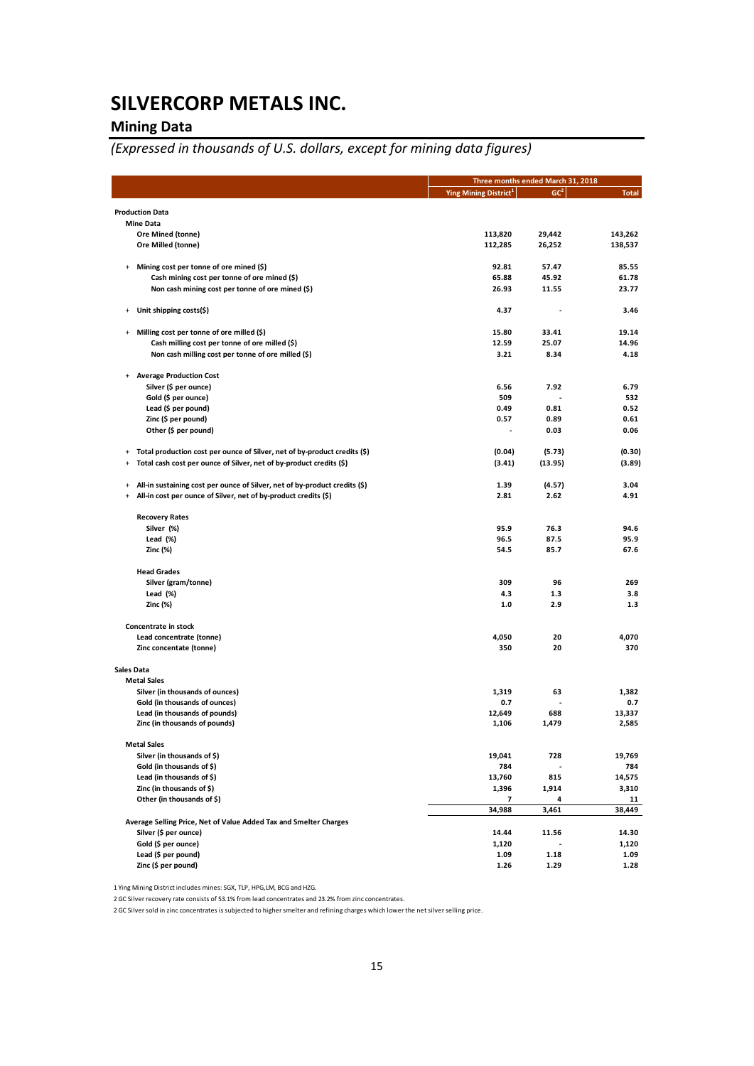### **Mining Data**

 $\overline{\phantom{a}}$ 

## *(Expressed in thousands of U.S. dollars, except for mining data figures)*

|                                                                                                               |                                   | Three months ended March 31, 2018 |              |  |  |
|---------------------------------------------------------------------------------------------------------------|-----------------------------------|-----------------------------------|--------------|--|--|
|                                                                                                               | Ying Mining District <sup>1</sup> | GC <sup>2</sup>                   | <b>Total</b> |  |  |
| <b>Production Data</b>                                                                                        |                                   |                                   |              |  |  |
| <b>Mine Data</b>                                                                                              |                                   |                                   |              |  |  |
| Ore Mined (tonne)                                                                                             | 113,820                           | 29,442                            | 143,262      |  |  |
| Ore Milled (tonne)                                                                                            | 112,285                           | 26,252                            | 138,537      |  |  |
|                                                                                                               |                                   |                                   |              |  |  |
| Mining cost per tonne of ore mined (\$)<br>$\ddot{}$                                                          | 92.81                             | 57.47                             | 85.55        |  |  |
| Cash mining cost per tonne of ore mined (\$)                                                                  | 65.88                             | 45.92                             | 61.78        |  |  |
| Non cash mining cost per tonne of ore mined (\$)                                                              | 26.93                             | 11.55                             | 23.77        |  |  |
| Unit shipping costs(\$)<br>$\begin{array}{c} + \end{array}$                                                   | 4.37                              |                                   | 3.46         |  |  |
| Milling cost per tonne of ore milled (\$)<br>$\ddot{}$                                                        | 15.80                             | 33.41                             | 19.14        |  |  |
| Cash milling cost per tonne of ore milled (\$)                                                                | 12.59                             | 25.07                             | 14.96        |  |  |
| Non cash milling cost per tonne of ore milled (\$)                                                            | 3.21                              | 8.34                              | 4.18         |  |  |
|                                                                                                               |                                   |                                   |              |  |  |
| <b>Average Production Cost</b><br>$\ddot{}$<br>Silver (\$ per ounce)                                          | 6.56                              | 7.92                              | 6.79         |  |  |
|                                                                                                               |                                   |                                   |              |  |  |
| Gold (\$ per ounce)                                                                                           | 509<br>0.49                       | 0.81                              | 532<br>0.52  |  |  |
| Lead (\$ per pound)                                                                                           |                                   |                                   |              |  |  |
| Zinc (\$ per pound)                                                                                           | 0.57                              | 0.89                              | 0.61         |  |  |
| Other (\$ per pound)                                                                                          | ٠                                 | 0.03                              | 0.06         |  |  |
| Total production cost per ounce of Silver, net of by-product credits (\$)<br>$\begin{array}{c} + \end{array}$ | (0.04)                            | (5.73)                            | (0.30)       |  |  |
| Total cash cost per ounce of Silver, net of by-product credits (\$)<br>$\begin{array}{c} + \end{array}$       | (3.41)                            | (13.95)                           | (3.89)       |  |  |
|                                                                                                               |                                   |                                   |              |  |  |
| All-in sustaining cost per ounce of Silver, net of by-product credits (\$)<br>$\ddot{}$                       | 1.39                              | (4.57)                            | 3.04         |  |  |
| All-in cost per ounce of Silver, net of by-product credits (\$)<br>$\ddot{}$                                  | 2.81                              | 2.62                              | 4.91         |  |  |
| <b>Recovery Rates</b>                                                                                         |                                   |                                   |              |  |  |
| Silver (%)                                                                                                    | 95.9                              | 76.3                              | 94.6         |  |  |
| Lead $(% )$                                                                                                   | 96.5                              | 87.5                              | 95.9         |  |  |
| Zinc (%)                                                                                                      | 54.5                              | 85.7                              | 67.6         |  |  |
| <b>Head Grades</b>                                                                                            |                                   |                                   |              |  |  |
| Silver (gram/tonne)                                                                                           | 309                               | 96                                | 269          |  |  |
| Lead $(% )$                                                                                                   | 4.3                               | 1.3                               | 3.8          |  |  |
| Zinc (%)                                                                                                      | 1.0                               | 2.9                               | 1.3          |  |  |
|                                                                                                               |                                   |                                   |              |  |  |
| Concentrate in stock                                                                                          |                                   |                                   |              |  |  |
| Lead concentrate (tonne)                                                                                      | 4,050                             | 20                                | 4,070        |  |  |
| Zinc concentate (tonne)                                                                                       | 350                               | 20                                | 370          |  |  |
| <b>Sales Data</b>                                                                                             |                                   |                                   |              |  |  |
| <b>Metal Sales</b>                                                                                            |                                   |                                   |              |  |  |
| Silver (in thousands of ounces)                                                                               | 1,319                             | 63                                | 1,382        |  |  |
| Gold (in thousands of ounces)                                                                                 | 0.7                               |                                   | 0.7          |  |  |
| Lead (in thousands of pounds)                                                                                 | 12,649                            | 688                               | 13,337       |  |  |
| Zinc (in thousands of pounds)                                                                                 | 1,106                             | 1,479                             | 2,585        |  |  |
| <b>Metal Sales</b>                                                                                            |                                   |                                   |              |  |  |
| Silver (in thousands of \$)                                                                                   | 19,041                            | 728                               | 19,769       |  |  |
| Gold (in thousands of \$)                                                                                     | 784                               |                                   | 784          |  |  |
| Lead (in thousands of \$)                                                                                     | 13,760                            | 815                               | 14,575       |  |  |
| Zinc (in thousands of \$)                                                                                     | 1,396                             | 1,914                             | 3,310        |  |  |
| Other (in thousands of \$)                                                                                    | 7                                 | 4                                 | 11           |  |  |
|                                                                                                               | 34,988                            | 3,461                             | 38,449       |  |  |
| Average Selling Price, Net of Value Added Tax and Smelter Charges                                             |                                   |                                   |              |  |  |
| Silver (\$ per ounce)                                                                                         | 14.44                             | 11.56                             | 14.30        |  |  |
| Gold (\$ per ounce)                                                                                           | 1,120                             |                                   | 1,120        |  |  |
| Lead (\$ per pound)                                                                                           | 1.09                              | 1.18                              | 1.09         |  |  |
| Zinc (\$ per pound)                                                                                           | 1.26                              | 1.29                              | 1.28         |  |  |

1 Ying Mining District includes mines: SGX, TLP, HPG,LM, BCG and HZG.

2 GC Silver recovery rate consists of 53.1% from lead concentrates and 23.2% from zinc concentrates.

2 GC Silver sold in zinc concentrates is subjected to higher smelter and refining charges which lower the net silver selling price.